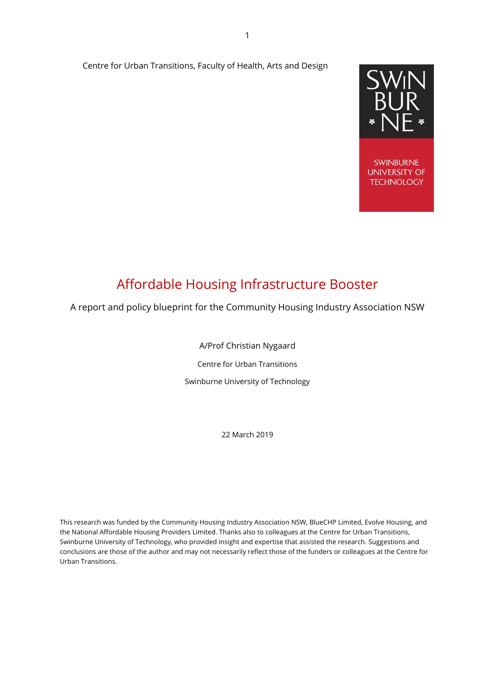#### Centre for Urban Transitions, Faculty of Health, Arts and Design



# Affordable Housing Infrastructure Booster

A report and policy blueprint for the Community Housing Industry Association NSW

A/Prof Christian Nygaard

Centre for Urban Transitions

Swinburne University of Technology

22 March 2019

This research was funded by the Community Housing Industry Association NSW, BlueCHP Limited, Evolve Housing, and the National Affordable Housing Providers Limited. Thanks also to colleagues at the Centre for Urban Transitions, Swinburne University of Technology, who provided insight and expertise that assisted the research. Suggestions and conclusions are those of the author and may not necessarily reflect those of the funders or colleagues at the Centre for Urban Transitions.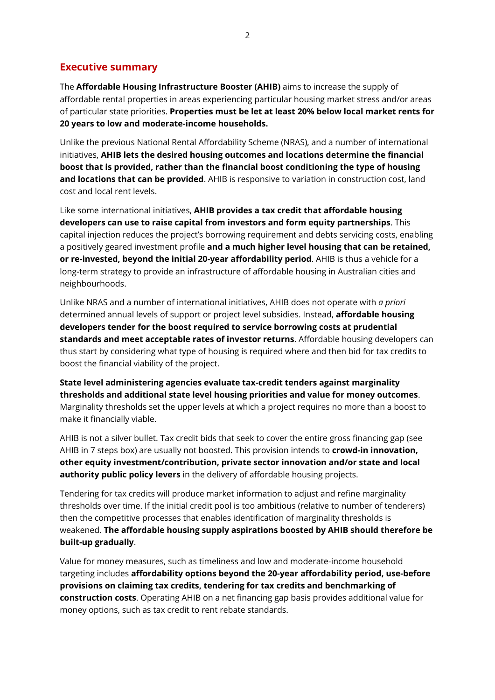## <span id="page-1-0"></span>**Executive summary**

The **Affordable Housing Infrastructure Booster (AHIB)** aims to increase the supply of affordable rental properties in areas experiencing particular housing market stress and/or areas of particular state priorities. **Properties must be let at least 20% below local market rents for 20 years to low and moderate-income households.**

Unlike the previous National Rental Affordability Scheme (NRAS), and a number of international initiatives, **AHIB lets the desired housing outcomes and locations determine the financial boost that is provided, rather than the financial boost conditioning the type of housing and locations that can be provided**. AHIB is responsive to variation in construction cost, land cost and local rent levels.

Like some international initiatives, **AHIB provides a tax credit that affordable housing developers can use to raise capital from investors and form equity partnerships**. This capital injection reduces the project's borrowing requirement and debts servicing costs, enabling a positively geared investment profile **and a much higher level housing that can be retained, or re-invested, beyond the initial 20-year affordability period**. AHIB is thus a vehicle for a long-term strategy to provide an infrastructure of affordable housing in Australian cities and neighbourhoods.

Unlike NRAS and a number of international initiatives, AHIB does not operate with *a priori* determined annual levels of support or project level subsidies. Instead, **affordable housing developers tender for the boost required to service borrowing costs at prudential standards and meet acceptable rates of investor returns**. Affordable housing developers can thus start by considering what type of housing is required where and then bid for tax credits to boost the financial viability of the project.

**State level administering agencies evaluate tax-credit tenders against marginality thresholds and additional state level housing priorities and value for money outcomes**. Marginality thresholds set the upper levels at which a project requires no more than a boost to make it financially viable.

AHIB is not a silver bullet. Tax credit bids that seek to cover the entire gross financing gap (see AHIB in 7 steps box) are usually not boosted. This provision intends to **crowd-in innovation, other equity investment/contribution, private sector innovation and/or state and local authority public policy levers** in the delivery of affordable housing projects.

Tendering for tax credits will produce market information to adjust and refine marginality thresholds over time. If the initial credit pool is too ambitious (relative to number of tenderers) then the competitive processes that enables identification of marginality thresholds is weakened. **The affordable housing supply aspirations boosted by AHIB should therefore be built-up gradually**.

Value for money measures, such as timeliness and low and moderate-income household targeting includes **affordability options beyond the 20-year affordability period, use-before provisions on claiming tax credits, tendering for tax credits and benchmarking of construction costs**. Operating AHIB on a net financing gap basis provides additional value for money options, such as tax credit to rent rebate standards.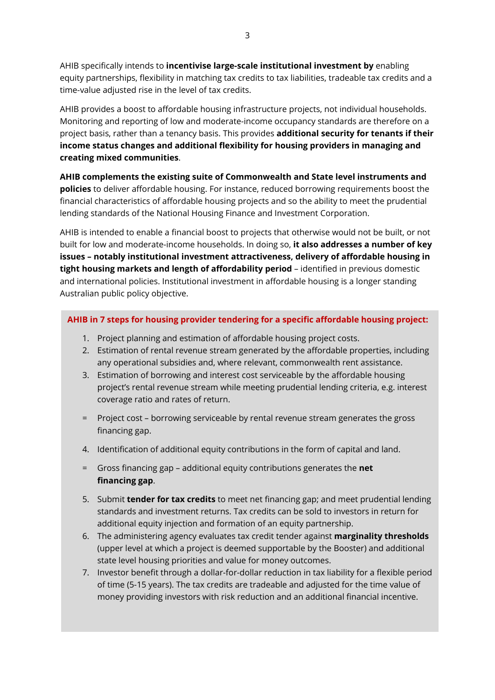AHIB specifically intends to **incentivise large-scale institutional investment by** enabling equity partnerships, flexibility in matching tax credits to tax liabilities, tradeable tax credits and a time-value adjusted rise in the level of tax credits.

AHIB provides a boost to affordable housing infrastructure projects, not individual households. Monitoring and reporting of low and moderate-income occupancy standards are therefore on a project basis, rather than a tenancy basis. This provides **additional security for tenants if their income status changes and additional flexibility for housing providers in managing and creating mixed communities**.

**AHIB complements the existing suite of Commonwealth and State level instruments and policies** to deliver affordable housing. For instance, reduced borrowing requirements boost the financial characteristics of affordable housing projects and so the ability to meet the prudential lending standards of the National Housing Finance and Investment Corporation.

AHIB is intended to enable a financial boost to projects that otherwise would not be built, or not built for low and moderate-income households. In doing so, **it also addresses a number of key issues – notably institutional investment attractiveness, delivery of affordable housing in tight housing markets and length of affordability period** – identified in previous domestic and international policies. Institutional investment in affordable housing is a longer standing Australian public policy objective.

#### **AHIB in 7 steps for housing provider tendering for a specific affordable housing project:**

- 1. Project planning and estimation of affordable housing project costs.
- 2. Estimation of rental revenue stream generated by the affordable properties, including any operational subsidies and, where relevant, commonwealth rent assistance.
- 3. Estimation of borrowing and interest cost serviceable by the affordable housing project's rental revenue stream while meeting prudential lending criteria, e.g. interest coverage ratio and rates of return.
- = Project cost borrowing serviceable by rental revenue stream generates the gross financing gap.
- 4. Identification of additional equity contributions in the form of capital and land.
- = Gross financing gap additional equity contributions generates the **net financing gap**.
- 5. Submit **tender for tax credits** to meet net financing gap; and meet prudential lending standards and investment returns. Tax credits can be sold to investors in return for additional equity injection and formation of an equity partnership.
- 6. The administering agency evaluates tax credit tender against **marginality thresholds** (upper level at which a project is deemed supportable by the Booster) and additional state level housing priorities and value for money outcomes.
- 7. Investor benefit through a dollar-for-dollar reduction in tax liability for a flexible period of time (5-15 years). The tax credits are tradeable and adjusted for the time value of money providing investors with risk reduction and an additional financial incentive.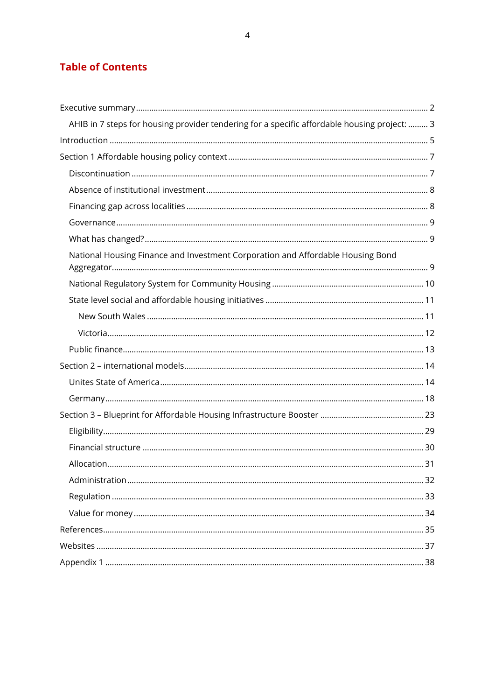# **Table of Contents**

<span id="page-3-0"></span>

| AHIB in 7 steps for housing provider tendering for a specific affordable housing project:  3 |  |
|----------------------------------------------------------------------------------------------|--|
|                                                                                              |  |
|                                                                                              |  |
|                                                                                              |  |
|                                                                                              |  |
|                                                                                              |  |
|                                                                                              |  |
|                                                                                              |  |
| National Housing Finance and Investment Corporation and Affordable Housing Bond              |  |
|                                                                                              |  |
|                                                                                              |  |
|                                                                                              |  |
|                                                                                              |  |
|                                                                                              |  |
|                                                                                              |  |
|                                                                                              |  |
|                                                                                              |  |
|                                                                                              |  |
|                                                                                              |  |
|                                                                                              |  |
|                                                                                              |  |
|                                                                                              |  |
|                                                                                              |  |
|                                                                                              |  |
|                                                                                              |  |
|                                                                                              |  |
|                                                                                              |  |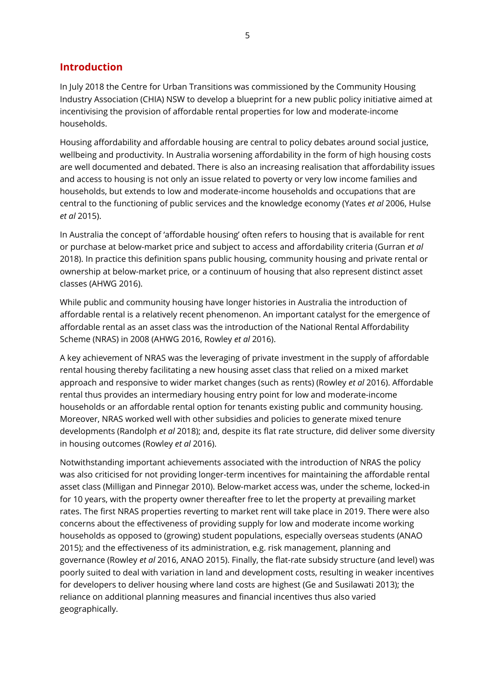# **Introduction**

In July 2018 the Centre for Urban Transitions was commissioned by the Community Housing Industry Association (CHIA) NSW to develop a blueprint for a new public policy initiative aimed at incentivising the provision of affordable rental properties for low and moderate-income households.

Housing affordability and affordable housing are central to policy debates around social justice, wellbeing and productivity. In Australia worsening affordability in the form of high housing costs are well documented and debated. There is also an increasing realisation that affordability issues and access to housing is not only an issue related to poverty or very low income families and households, but extends to low and moderate-income households and occupations that are central to the functioning of public services and the knowledge economy (Yates *et al* 2006, Hulse *et al* 2015).

In Australia the concept of 'affordable housing' often refers to housing that is available for rent or purchase at below-market price and subject to access and affordability criteria (Gurran *et al* 2018). In practice this definition spans public housing, community housing and private rental or ownership at below-market price, or a continuum of housing that also represent distinct asset classes (AHWG 2016).

While public and community housing have longer histories in Australia the introduction of affordable rental is a relatively recent phenomenon. An important catalyst for the emergence of affordable rental as an asset class was the introduction of the National Rental Affordability Scheme (NRAS) in 2008 (AHWG 2016, Rowley *et al* 2016).

A key achievement of NRAS was the leveraging of private investment in the supply of affordable rental housing thereby facilitating a new housing asset class that relied on a mixed market approach and responsive to wider market changes (such as rents) (Rowley *et al* 2016). Affordable rental thus provides an intermediary housing entry point for low and moderate-income households or an affordable rental option for tenants existing public and community housing. Moreover, NRAS worked well with other subsidies and policies to generate mixed tenure developments (Randolph *et al* 2018); and, despite its flat rate structure, did deliver some diversity in housing outcomes (Rowley *et al* 2016).

Notwithstanding important achievements associated with the introduction of NRAS the policy was also criticised for not providing longer-term incentives for maintaining the affordable rental asset class (Milligan and Pinnegar 2010). Below-market access was, under the scheme, locked-in for 10 years, with the property owner thereafter free to let the property at prevailing market rates. The first NRAS properties reverting to market rent will take place in 2019. There were also concerns about the effectiveness of providing supply for low and moderate income working households as opposed to (growing) student populations, especially overseas students (ANAO 2015); and the effectiveness of its administration, e.g. risk management, planning and governance (Rowley *et al* 2016, ANAO 2015). Finally, the flat-rate subsidy structure (and level) was poorly suited to deal with variation in land and development costs, resulting in weaker incentives for developers to deliver housing where land costs are highest (Ge and Susilawati 2013); the reliance on additional planning measures and financial incentives thus also varied geographically.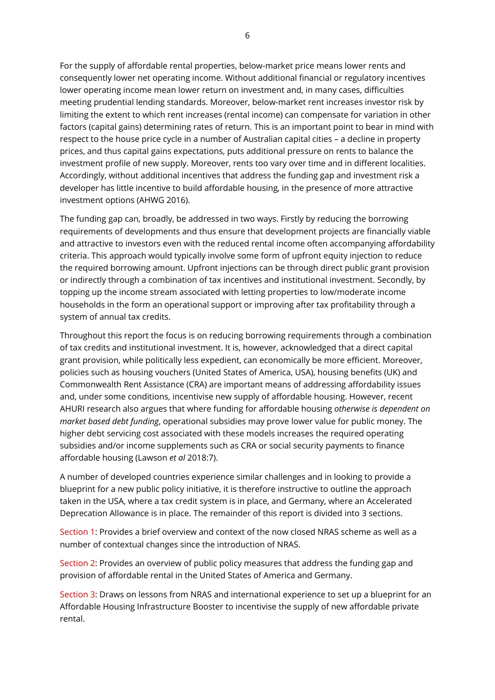For the supply of affordable rental properties, below-market price means lower rents and consequently lower net operating income. Without additional financial or regulatory incentives lower operating income mean lower return on investment and, in many cases, difficulties meeting prudential lending standards. Moreover, below-market rent increases investor risk by limiting the extent to which rent increases (rental income) can compensate for variation in other factors (capital gains) determining rates of return. This is an important point to bear in mind with respect to the house price cycle in a number of Australian capital cities – a decline in property prices, and thus capital gains expectations, puts additional pressure on rents to balance the investment profile of new supply. Moreover, rents too vary over time and in different localities. Accordingly, without additional incentives that address the funding gap and investment risk a developer has little incentive to build affordable housing, in the presence of more attractive investment options (AHWG 2016).

The funding gap can, broadly, be addressed in two ways. Firstly by reducing the borrowing requirements of developments and thus ensure that development projects are financially viable and attractive to investors even with the reduced rental income often accompanying affordability criteria. This approach would typically involve some form of upfront equity injection to reduce the required borrowing amount. Upfront injections can be through direct public grant provision or indirectly through a combination of tax incentives and institutional investment. Secondly, by topping up the income stream associated with letting properties to low/moderate income households in the form an operational support or improving after tax profitability through a system of annual tax credits.

Throughout this report the focus is on reducing borrowing requirements through a combination of tax credits and institutional investment. It is, however, acknowledged that a direct capital grant provision, while politically less expedient, can economically be more efficient. Moreover, policies such as housing vouchers (United States of America, USA), housing benefits (UK) and Commonwealth Rent Assistance (CRA) are important means of addressing affordability issues and, under some conditions, incentivise new supply of affordable housing. However, recent AHURI research also argues that where funding for affordable housing *otherwise is dependent on market based debt funding*, operational subsidies may prove lower value for public money. The higher debt servicing cost associated with these models increases the required operating subsidies and/or income supplements such as CRA or social security payments to finance affordable housing (Lawson *et al* 2018:7).

A number of developed countries experience similar challenges and in looking to provide a blueprint for a new public policy initiative, it is therefore instructive to outline the approach taken in the USA, where a tax credit system is in place, and Germany, where an Accelerated Deprecation Allowance is in place. The remainder of this report is divided into 3 sections.

Section 1: Provides a brief overview and context of the now closed NRAS scheme as well as a number of contextual changes since the introduction of NRAS.

Section 2: Provides an overview of public policy measures that address the funding gap and provision of affordable rental in the United States of America and Germany.

Section 3: Draws on lessons from NRAS and international experience to set up a blueprint for an Affordable Housing Infrastructure Booster to incentivise the supply of new affordable private rental.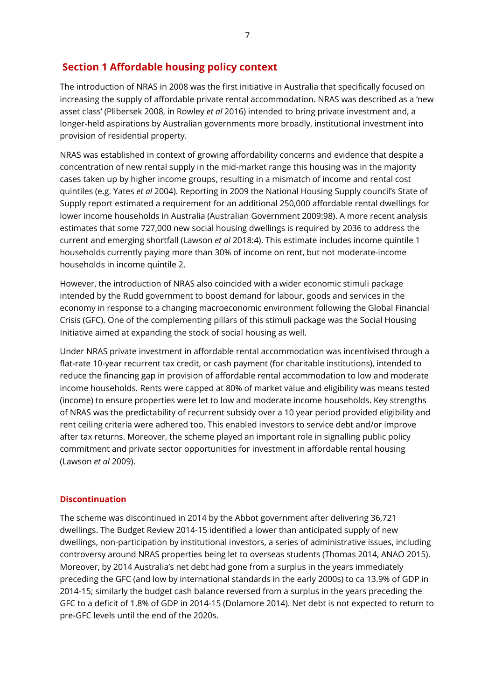# <span id="page-6-0"></span>**Section 1 Affordable housing policy context**

The introduction of NRAS in 2008 was the first initiative in Australia that specifically focused on increasing the supply of affordable private rental accommodation. NRAS was described as a 'new asset class' (Plibersek 2008, in Rowley *et al* 2016) intended to bring private investment and, a longer-held aspirations by Australian governments more broadly, institutional investment into provision of residential property.

NRAS was established in context of growing affordability concerns and evidence that despite a concentration of new rental supply in the mid-market range this housing was in the majority cases taken up by higher income groups, resulting in a mismatch of income and rental cost quintiles (e.g. Yates *et al* 2004). Reporting in 2009 the National Housing Supply council's State of Supply report estimated a requirement for an additional 250,000 affordable rental dwellings for lower income households in Australia (Australian Government 2009:98). A more recent analysis estimates that some 727,000 new social housing dwellings is required by 2036 to address the current and emerging shortfall (Lawson *et al* 2018:4). This estimate includes income quintile 1 households currently paying more than 30% of income on rent, but not moderate-income households in income quintile 2.

However, the introduction of NRAS also coincided with a wider economic stimuli package intended by the Rudd government to boost demand for labour, goods and services in the economy in response to a changing macroeconomic environment following the Global Financial Crisis (GFC). One of the complementing pillars of this stimuli package was the Social Housing Initiative aimed at expanding the stock of social housing as well.

Under NRAS private investment in affordable rental accommodation was incentivised through a flat-rate 10-year recurrent tax credit, or cash payment (for charitable institutions), intended to reduce the financing gap in provision of affordable rental accommodation to low and moderate income households. Rents were capped at 80% of market value and eligibility was means tested (income) to ensure properties were let to low and moderate income households. Key strengths of NRAS was the predictability of recurrent subsidy over a 10 year period provided eligibility and rent ceiling criteria were adhered too. This enabled investors to service debt and/or improve after tax returns. Moreover, the scheme played an important role in signalling public policy commitment and private sector opportunities for investment in affordable rental housing (Lawson *et al* 2009).

#### <span id="page-6-1"></span>**Discontinuation**

The scheme was discontinued in 2014 by the Abbot government after delivering 36,721 dwellings. The Budget Review 2014-15 identified a lower than anticipated supply of new dwellings, non-participation by institutional investors, a series of administrative issues, including controversy around NRAS properties being let to overseas students (Thomas 2014, ANAO 2015). Moreover, by 2014 Australia's net debt had gone from a surplus in the years immediately preceding the GFC (and low by international standards in the early 2000s) to ca 13.9% of GDP in 2014-15; similarly the budget cash balance reversed from a surplus in the years preceding the GFC to a deficit of 1.8% of GDP in 2014-15 (Dolamore 2014). Net debt is not expected to return to pre-GFC levels until the end of the 2020s.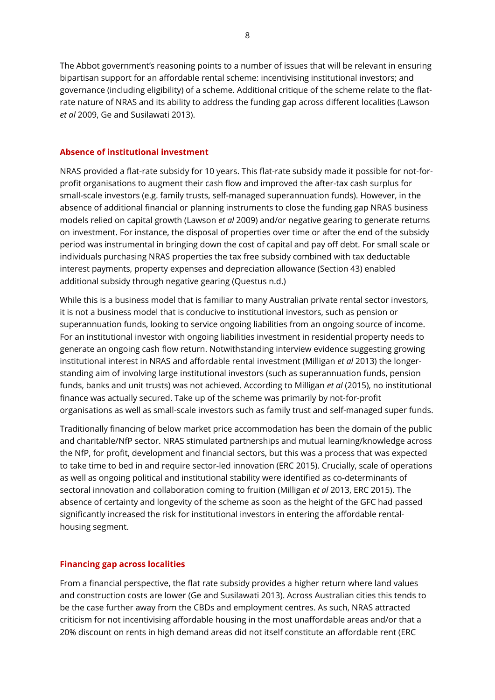The Abbot government's reasoning points to a number of issues that will be relevant in ensuring bipartisan support for an affordable rental scheme: incentivising institutional investors; and governance (including eligibility) of a scheme. Additional critique of the scheme relate to the flatrate nature of NRAS and its ability to address the funding gap across different localities (Lawson *et al* 2009, Ge and Susilawati 2013).

#### <span id="page-7-0"></span>**Absence of institutional investment**

NRAS provided a flat-rate subsidy for 10 years. This flat-rate subsidy made it possible for not-forprofit organisations to augment their cash flow and improved the after-tax cash surplus for small-scale investors (e.g. family trusts, self-managed superannuation funds). However, in the absence of additional financial or planning instruments to close the funding gap NRAS business models relied on capital growth (Lawson *et al* 2009) and/or negative gearing to generate returns on investment. For instance, the disposal of properties over time or after the end of the subsidy period was instrumental in bringing down the cost of capital and pay off debt. For small scale or individuals purchasing NRAS properties the tax free subsidy combined with tax deductable interest payments, property expenses and depreciation allowance (Section 43) enabled additional subsidy through negative gearing (Questus n.d.)

While this is a business model that is familiar to many Australian private rental sector investors, it is not a business model that is conducive to institutional investors, such as pension or superannuation funds, looking to service ongoing liabilities from an ongoing source of income. For an institutional investor with ongoing liabilities investment in residential property needs to generate an ongoing cash flow return. Notwithstanding interview evidence suggesting growing institutional interest in NRAS and affordable rental investment (Milligan *et al* 2013) the longerstanding aim of involving large institutional investors (such as superannuation funds, pension funds, banks and unit trusts) was not achieved. According to Milligan *et al* (2015), no institutional finance was actually secured. Take up of the scheme was primarily by not-for-profit organisations as well as small-scale investors such as family trust and self-managed super funds.

Traditionally financing of below market price accommodation has been the domain of the public and charitable/NfP sector. NRAS stimulated partnerships and mutual learning/knowledge across the NfP, for profit, development and financial sectors, but this was a process that was expected to take time to bed in and require sector-led innovation (ERC 2015). Crucially, scale of operations as well as ongoing political and institutional stability were identified as co-determinants of sectoral innovation and collaboration coming to fruition (Milligan *et al* 2013, ERC 2015). The absence of certainty and longevity of the scheme as soon as the height of the GFC had passed significantly increased the risk for institutional investors in entering the affordable rentalhousing segment.

#### <span id="page-7-1"></span>**Financing gap across localities**

From a financial perspective, the flat rate subsidy provides a higher return where land values and construction costs are lower (Ge and Susilawati 2013). Across Australian cities this tends to be the case further away from the CBDs and employment centres. As such, NRAS attracted criticism for not incentivising affordable housing in the most unaffordable areas and/or that a 20% discount on rents in high demand areas did not itself constitute an affordable rent (ERC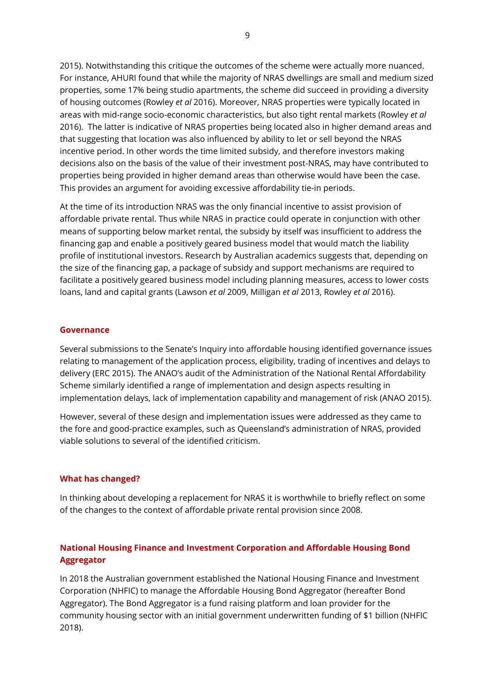2015). Notwithstanding this critique the outcomes of the scheme were actually more nuanced. For instance, AHURI found that while the majority of NRAS dwellings are small and medium sized properties, some 17% being studio apartments, the scheme did succeed in providing a diversity of housing outcomes (Rowley *et al* 2016). Moreover, NRAS properties were typically located in areas with mid-range socio-economic characteristics, but also tight rental markets (Rowley *et al* 2016). The latter is indicative of NRAS properties being located also in higher demand areas and that suggesting that location was also influenced by ability to let or sell beyond the NRAS incentive period. In other words the time limited subsidy, and therefore investors making decisions also on the basis of the value of their investment post-NRAS, may have contributed to properties being provided in higher demand areas than otherwise would have been the case. This provides an argument for avoiding excessive affordability tie-in periods.

At the time of its introduction NRAS was the only financial incentive to assist provision of affordable private rental. Thus while NRAS in practice could operate in conjunction with other means of supporting below market rental, the subsidy by itself was insufficient to address the financing gap and enable a positively geared business model that would match the liability profile of institutional investors. Research by Australian academics suggests that, depending on the size of the financing gap, a package of subsidy and support mechanisms are required to facilitate a positively geared business model including planning measures, access to lower costs loans, land and capital grants (Lawson *et al* 2009, Milligan *et al* 2013, Rowley *et al* 2016).

#### <span id="page-8-0"></span>**Governance**

Several submissions to the Senate's Inquiry into affordable housing identified governance issues relating to management of the application process, eligibility, trading of incentives and delays to delivery (ERC 2015). The ANAO's audit of the Administration of the National Rental Affordability Scheme similarly identified a range of implementation and design aspects resulting in implementation delays, lack of implementation capability and management of risk (ANAO 2015).

However, several of these design and implementation issues were addressed as they came to the fore and good-practice examples, such as Queensland's administration of NRAS, provided viable solutions to several of the identified criticism.

#### <span id="page-8-1"></span>**What has changed?**

In thinking about developing a replacement for NRAS it is worthwhile to briefly reflect on some of the changes to the context of affordable private rental provision since 2008.

## <span id="page-8-2"></span>**National Housing Finance and Investment Corporation and Affordable Housing Bond Aggregator**

In 2018 the Australian government established the National Housing Finance and Investment Corporation (NHFIC) to manage the Affordable Housing Bond Aggregator (hereafter Bond Aggregator). The Bond Aggregator is a fund raising platform and loan provider for the community housing sector with an initial government underwritten funding of \$1 billion (NHFIC 2018).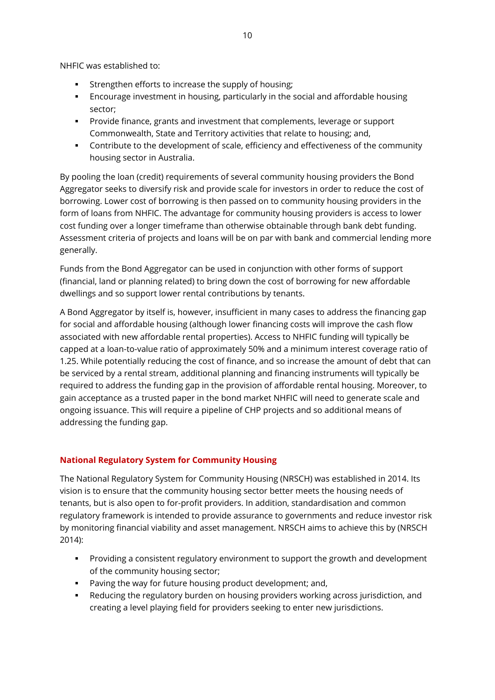NHFIC was established to:

- Strengthen efforts to increase the supply of housing;
- Encourage investment in housing, particularly in the social and affordable housing sector;
- Provide finance, grants and investment that complements, leverage or support Commonwealth, State and Territory activities that relate to housing; and,
- Contribute to the development of scale, efficiency and effectiveness of the community housing sector in Australia.

By pooling the loan (credit) requirements of several community housing providers the Bond Aggregator seeks to diversify risk and provide scale for investors in order to reduce the cost of borrowing. Lower cost of borrowing is then passed on to community housing providers in the form of loans from NHFIC. The advantage for community housing providers is access to lower cost funding over a longer timeframe than otherwise obtainable through bank debt funding. Assessment criteria of projects and loans will be on par with bank and commercial lending more generally.

Funds from the Bond Aggregator can be used in conjunction with other forms of support (financial, land or planning related) to bring down the cost of borrowing for new affordable dwellings and so support lower rental contributions by tenants.

A Bond Aggregator by itself is, however, insufficient in many cases to address the financing gap for social and affordable housing (although lower financing costs will improve the cash flow associated with new affordable rental properties). Access to NHFIC funding will typically be capped at a loan-to-value ratio of approximately 50% and a minimum interest coverage ratio of 1.25. While potentially reducing the cost of finance, and so increase the amount of debt that can be serviced by a rental stream, additional planning and financing instruments will typically be required to address the funding gap in the provision of affordable rental housing. Moreover, to gain acceptance as a trusted paper in the bond market NHFIC will need to generate scale and ongoing issuance. This will require a pipeline of CHP projects and so additional means of addressing the funding gap.

## <span id="page-9-0"></span>**National Regulatory System for Community Housing**

The National Regulatory System for Community Housing (NRSCH) was established in 2014. Its vision is to ensure that the community housing sector better meets the housing needs of tenants, but is also open to for-profit providers. In addition, standardisation and common regulatory framework is intended to provide assurance to governments and reduce investor risk by monitoring financial viability and asset management. NRSCH aims to achieve this by (NRSCH 2014):

- Providing a consistent regulatory environment to support the growth and development of the community housing sector;
- Paving the way for future housing product development; and,
- Reducing the regulatory burden on housing providers working across jurisdiction, and creating a level playing field for providers seeking to enter new jurisdictions.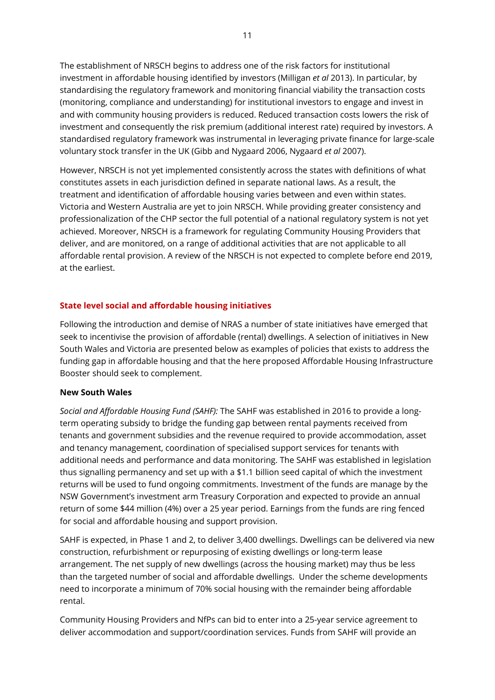The establishment of NRSCH begins to address one of the risk factors for institutional investment in affordable housing identified by investors (Milligan *et al* 2013). In particular, by standardising the regulatory framework and monitoring financial viability the transaction costs (monitoring, compliance and understanding) for institutional investors to engage and invest in and with community housing providers is reduced. Reduced transaction costs lowers the risk of investment and consequently the risk premium (additional interest rate) required by investors. A standardised regulatory framework was instrumental in leveraging private finance for large-scale voluntary stock transfer in the UK (Gibb and Nygaard 2006, Nygaard *et al* 2007).

However, NRSCH is not yet implemented consistently across the states with definitions of what constitutes assets in each jurisdiction defined in separate national laws. As a result, the treatment and identification of affordable housing varies between and even within states. Victoria and Western Australia are yet to join NRSCH. While providing greater consistency and professionalization of the CHP sector the full potential of a national regulatory system is not yet achieved. Moreover, NRSCH is a framework for regulating Community Housing Providers that deliver, and are monitored, on a range of additional activities that are not applicable to all affordable rental provision. A review of the NRSCH is not expected to complete before end 2019, at the earliest.

## <span id="page-10-0"></span>**State level social and affordable housing initiatives**

Following the introduction and demise of NRAS a number of state initiatives have emerged that seek to incentivise the provision of affordable (rental) dwellings. A selection of initiatives in New South Wales and Victoria are presented below as examples of policies that exists to address the funding gap in affordable housing and that the here proposed Affordable Housing Infrastructure Booster should seek to complement.

#### <span id="page-10-1"></span>**New South Wales**

*Social and Affordable Housing Fund (SAHF):* The SAHF was established in 2016 to provide a longterm operating subsidy to bridge the funding gap between rental payments received from tenants and government subsidies and the revenue required to provide accommodation, asset and tenancy management, coordination of specialised support services for tenants with additional needs and performance and data monitoring. The SAHF was established in legislation thus signalling permanency and set up with a \$1.1 billion seed capital of which the investment returns will be used to fund ongoing commitments. Investment of the funds are manage by the NSW Government's investment arm Treasury Corporation and expected to provide an annual return of some \$44 million (4%) over a 25 year period. Earnings from the funds are ring fenced for social and affordable housing and support provision.

SAHF is expected, in Phase 1 and 2, to deliver 3,400 dwellings. Dwellings can be delivered via new construction, refurbishment or repurposing of existing dwellings or long-term lease arrangement. The net supply of new dwellings (across the housing market) may thus be less than the targeted number of social and affordable dwellings. Under the scheme developments need to incorporate a minimum of 70% social housing with the remainder being affordable rental.

Community Housing Providers and NfPs can bid to enter into a 25-year service agreement to deliver accommodation and support/coordination services. Funds from SAHF will provide an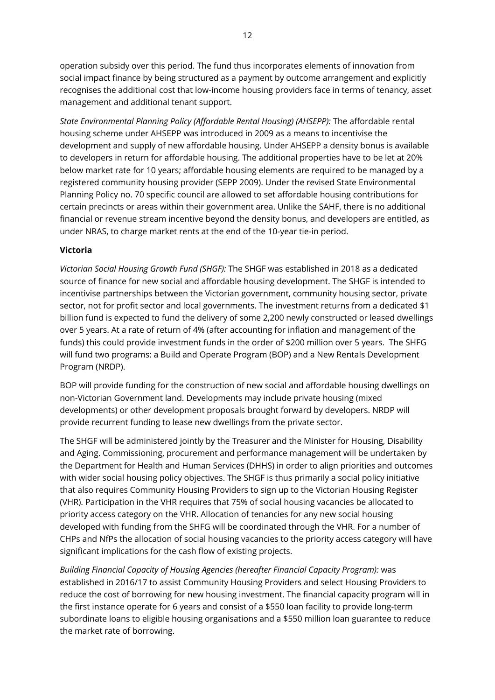operation subsidy over this period. The fund thus incorporates elements of innovation from social impact finance by being structured as a payment by outcome arrangement and explicitly recognises the additional cost that low-income housing providers face in terms of tenancy, asset management and additional tenant support.

*State Environmental Planning Policy (Affordable Rental Housing) (AHSEPP):* The affordable rental housing scheme under AHSEPP was introduced in 2009 as a means to incentivise the development and supply of new affordable housing. Under AHSEPP a density bonus is available to developers in return for affordable housing. The additional properties have to be let at 20% below market rate for 10 years; affordable housing elements are required to be managed by a registered community housing provider (SEPP 2009). Under the revised State Environmental Planning Policy no. 70 specific council are allowed to set affordable housing contributions for certain precincts or areas within their government area. Unlike the SAHF, there is no additional financial or revenue stream incentive beyond the density bonus, and developers are entitled, as under NRAS, to charge market rents at the end of the 10-year tie-in period.

## <span id="page-11-0"></span>**Victoria**

*Victorian Social Housing Growth Fund (SHGF):* The SHGF was established in 2018 as a dedicated source of finance for new social and affordable housing development. The SHGF is intended to incentivise partnerships between the Victorian government, community housing sector, private sector, not for profit sector and local governments. The investment returns from a dedicated \$1 billion fund is expected to fund the delivery of some 2,200 newly constructed or leased dwellings over 5 years. At a rate of return of 4% (after accounting for inflation and management of the funds) this could provide investment funds in the order of \$200 million over 5 years. The SHFG will fund two programs: a Build and Operate Program (BOP) and a New Rentals Development Program (NRDP).

BOP will provide funding for the construction of new social and affordable housing dwellings on non-Victorian Government land. Developments may include private housing (mixed developments) or other development proposals brought forward by developers. NRDP will provide recurrent funding to lease new dwellings from the private sector.

The SHGF will be administered jointly by the Treasurer and the Minister for Housing, Disability and Aging. Commissioning, procurement and performance management will be undertaken by the Department for Health and Human Services (DHHS) in order to align priorities and outcomes with wider social housing policy objectives. The SHGF is thus primarily a social policy initiative that also requires Community Housing Providers to sign up to the Victorian Housing Register (VHR). Participation in the VHR requires that 75% of social housing vacancies be allocated to priority access category on the VHR. Allocation of tenancies for any new social housing developed with funding from the SHFG will be coordinated through the VHR. For a number of CHPs and NfPs the allocation of social housing vacancies to the priority access category will have significant implications for the cash flow of existing projects.

*Building Financial Capacity of Housing Agencies (hereafter Financial Capacity Program):* was established in 2016/17 to assist Community Housing Providers and select Housing Providers to reduce the cost of borrowing for new housing investment. The financial capacity program will in the first instance operate for 6 years and consist of a \$550 loan facility to provide long-term subordinate loans to eligible housing organisations and a \$550 million loan guarantee to reduce the market rate of borrowing.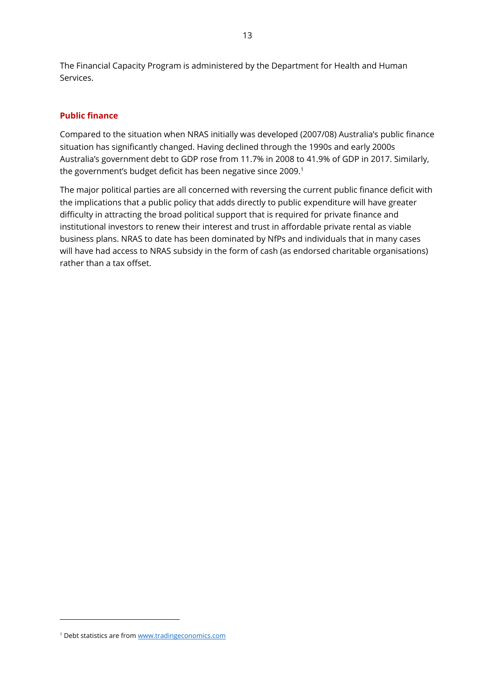The Financial Capacity Program is administered by the Department for Health and Human Services.

#### <span id="page-12-0"></span>**Public finance**

Compared to the situation when NRAS initially was developed (2007/08) Australia's public finance situation has significantly changed. Having declined through the 1990s and early 2000s Australia's government debt to GDP rose from 11.7% in 2008 to 41.9% of GDP in 2017. Similarly, the government's budget deficit has been negative since 2009.<sup>1</sup>

The major political parties are all concerned with reversing the current public finance deficit with the implications that a public policy that adds directly to public expenditure will have greater difficulty in attracting the broad political support that is required for private finance and institutional investors to renew their interest and trust in affordable private rental as viable business plans. NRAS to date has been dominated by NfPs and individuals that in many cases will have had access to NRAS subsidy in the form of cash (as endorsed charitable organisations) rather than a tax offset.

 $\overline{a}$ 

<sup>1</sup> Debt statistics are from [www.tradingeconomics.com](http://www.tradingeconomics.com/)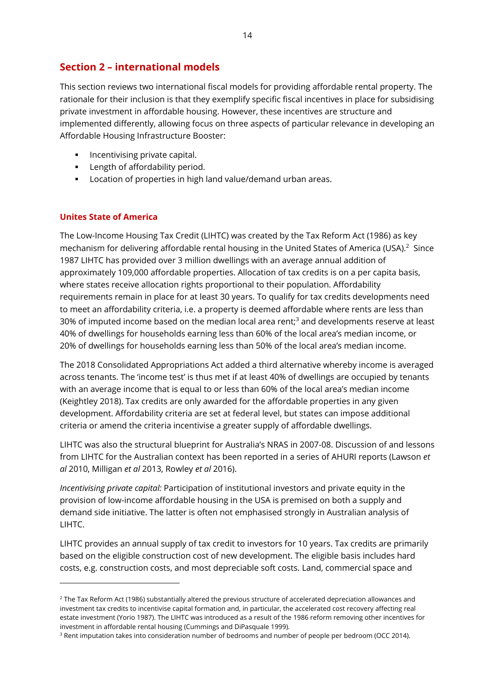# <span id="page-13-0"></span>**Section 2 – international models**

This section reviews two international fiscal models for providing affordable rental property. The rationale for their inclusion is that they exemplify specific fiscal incentives in place for subsidising private investment in affordable housing. However, these incentives are structure and implemented differently, allowing focus on three aspects of particular relevance in developing an Affordable Housing Infrastructure Booster:

- **Incentivising private capital.**
- **Length of affordability period.**
- **Location of properties in high land value/demand urban areas.**

## <span id="page-13-1"></span>**Unites State of America**

 $\overline{a}$ 

The Low-Income Housing Tax Credit (LIHTC) was created by the Tax Reform Act (1986) as key mechanism for delivering affordable rental housing in the United States of America (USA).<sup>2</sup> Since 1987 LIHTC has provided over 3 million dwellings with an average annual addition of approximately 109,000 affordable properties. Allocation of tax credits is on a per capita basis, where states receive allocation rights proportional to their population. Affordability requirements remain in place for at least 30 years. To qualify for tax credits developments need to meet an affordability criteria, i.e. a property is deemed affordable where rents are less than 30% of imputed income based on the median local area rent;<sup>3</sup> and developments reserve at least 40% of dwellings for households earning less than 60% of the local area's median income, or 20% of dwellings for households earning less than 50% of the local area's median income.

The 2018 Consolidated Appropriations Act added a third alternative whereby income is averaged across tenants. The 'income test' is thus met if at least 40% of dwellings are occupied by tenants with an average income that is equal to or less than 60% of the local area's median income (Keightley 2018). Tax credits are only awarded for the affordable properties in any given development. Affordability criteria are set at federal level, but states can impose additional criteria or amend the criteria incentivise a greater supply of affordable dwellings.

LIHTC was also the structural blueprint for Australia's NRAS in 2007-08. Discussion of and lessons from LIHTC for the Australian context has been reported in a series of AHURI reports (Lawson *et al* 2010, Milligan *et al* 2013, Rowley *et al* 2016).

*Incentivising private capital:* Participation of institutional investors and private equity in the provision of low-income affordable housing in the USA is premised on both a supply and demand side initiative. The latter is often not emphasised strongly in Australian analysis of LIHTC.

LIHTC provides an annual supply of tax credit to investors for 10 years. Tax credits are primarily based on the eligible construction cost of new development. The eligible basis includes hard costs, e.g. construction costs, and most depreciable soft costs. Land, commercial space and

 $2$  The Tax Reform Act (1986) substantially altered the previous structure of accelerated depreciation allowances and investment tax credits to incentivise capital formation and, in particular, the accelerated cost recovery affecting real estate investment (Yorio 1987). The LIHTC was introduced as a result of the 1986 reform removing other incentives for investment in affordable rental housing (Cummings and DiPasquale 1999).

<sup>&</sup>lt;sup>3</sup> Rent imputation takes into consideration number of bedrooms and number of people per bedroom (OCC 2014).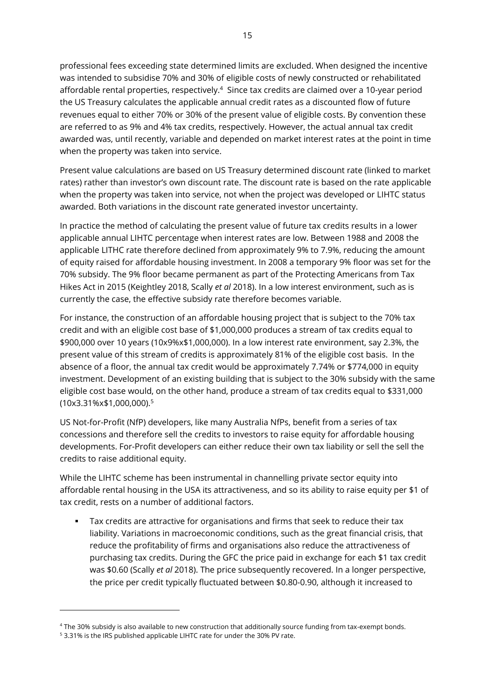professional fees exceeding state determined limits are excluded. When designed the incentive was intended to subsidise 70% and 30% of eligible costs of newly constructed or rehabilitated affordable rental properties, respectively.<sup>4</sup> Since tax credits are claimed over a 10-year period the US Treasury calculates the applicable annual credit rates as a discounted flow of future revenues equal to either 70% or 30% of the present value of eligible costs. By convention these are referred to as 9% and 4% tax credits, respectively. However, the actual annual tax credit awarded was, until recently, variable and depended on market interest rates at the point in time when the property was taken into service.

Present value calculations are based on US Treasury determined discount rate (linked to market rates) rather than investor's own discount rate. The discount rate is based on the rate applicable when the property was taken into service, not when the project was developed or LIHTC status awarded. Both variations in the discount rate generated investor uncertainty.

In practice the method of calculating the present value of future tax credits results in a lower applicable annual LIHTC percentage when interest rates are low. Between 1988 and 2008 the applicable LITHC rate therefore declined from approximately 9% to 7.9%, reducing the amount of equity raised for affordable housing investment. In 2008 a temporary 9% floor was set for the 70% subsidy. The 9% floor became permanent as part of the Protecting Americans from Tax Hikes Act in 2015 (Keightley 2018, Scally *et al* 2018). In a low interest environment, such as is currently the case, the effective subsidy rate therefore becomes variable.

For instance, the construction of an affordable housing project that is subject to the 70% tax credit and with an eligible cost base of \$1,000,000 produces a stream of tax credits equal to \$900,000 over 10 years (10x9%x\$1,000,000). In a low interest rate environment, say 2.3%, the present value of this stream of credits is approximately 81% of the eligible cost basis. In the absence of a floor, the annual tax credit would be approximately 7.74% or \$774,000 in equity investment. Development of an existing building that is subject to the 30% subsidy with the same eligible cost base would, on the other hand, produce a stream of tax credits equal to \$331,000 (10x3.31%x\$1,000,000).<sup>5</sup>

US Not-for-Profit (NfP) developers, like many Australia NfPs, benefit from a series of tax concessions and therefore sell the credits to investors to raise equity for affordable housing developments. For-Profit developers can either reduce their own tax liability or sell the sell the credits to raise additional equity.

While the LIHTC scheme has been instrumental in channelling private sector equity into affordable rental housing in the USA its attractiveness, and so its ability to raise equity per \$1 of tax credit, rests on a number of additional factors.

 Tax credits are attractive for organisations and firms that seek to reduce their tax liability. Variations in macroeconomic conditions, such as the great financial crisis, that reduce the profitability of firms and organisations also reduce the attractiveness of purchasing tax credits. During the GFC the price paid in exchange for each \$1 tax credit was \$0.60 (Scally *et al* 2018). The price subsequently recovered. In a longer perspective, the price per credit typically fluctuated between \$0.80-0.90, although it increased to

 $\overline{a}$ 

<sup>4</sup> The 30% subsidy is also available to new construction that additionally source funding from tax-exempt bonds.

<sup>5</sup> 3.31% is the IRS published applicable LIHTC rate for under the 30% PV rate.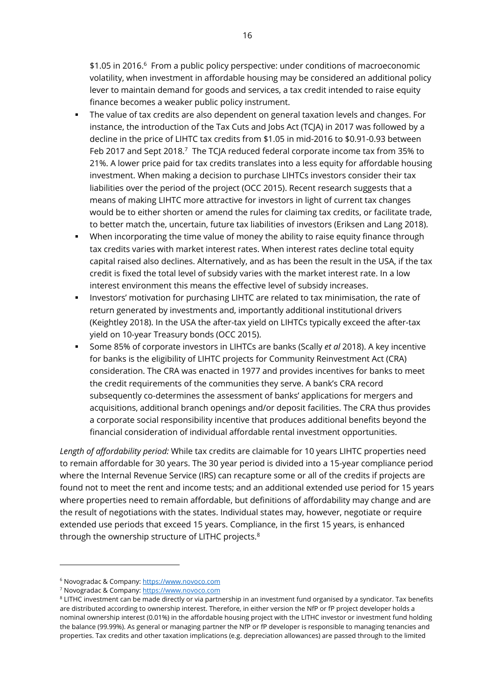\$1.05 in 2016.<sup>6</sup> From a public policy perspective: under conditions of macroeconomic volatility, when investment in affordable housing may be considered an additional policy lever to maintain demand for goods and services, a tax credit intended to raise equity finance becomes a weaker public policy instrument.

- The value of tax credits are also dependent on general taxation levels and changes. For instance, the introduction of the Tax Cuts and Jobs Act (TCJA) in 2017 was followed by a decline in the price of LIHTC tax credits from \$1.05 in mid-2016 to \$0.91-0.93 between Feb 2017 and Sept 2018.<sup>7</sup> The TCJA reduced federal corporate income tax from 35% to 21%. A lower price paid for tax credits translates into a less equity for affordable housing investment. When making a decision to purchase LIHTCs investors consider their tax liabilities over the period of the project (OCC 2015). Recent research suggests that a means of making LIHTC more attractive for investors in light of current tax changes would be to either shorten or amend the rules for claiming tax credits, or facilitate trade, to better match the, uncertain, future tax liabilities of investors (Eriksen and Lang 2018).
- When incorporating the time value of money the ability to raise equity finance through tax credits varies with market interest rates. When interest rates decline total equity capital raised also declines. Alternatively, and as has been the result in the USA, if the tax credit is fixed the total level of subsidy varies with the market interest rate. In a low interest environment this means the effective level of subsidy increases.
- **Investors' motivation for purchasing LIHTC are related to tax minimisation, the rate of** return generated by investments and, importantly additional institutional drivers (Keightley 2018). In the USA the after-tax yield on LIHTCs typically exceed the after-tax yield on 10-year Treasury bonds (OCC 2015).
- Some 85% of corporate investors in LIHTCs are banks (Scally *et al* 2018). A key incentive for banks is the eligibility of LIHTC projects for Community Reinvestment Act (CRA) consideration. The CRA was enacted in 1977 and provides incentives for banks to meet the credit requirements of the communities they serve. A bank's CRA record subsequently co-determines the assessment of banks' applications for mergers and acquisitions, additional branch openings and/or deposit facilities. The CRA thus provides a corporate social responsibility incentive that produces additional benefits beyond the financial consideration of individual affordable rental investment opportunities.

*Length of affordability period:* While tax credits are claimable for 10 years LIHTC properties need to remain affordable for 30 years. The 30 year period is divided into a 15-year compliance period where the Internal Revenue Service (IRS) can recapture some or all of the credits if projects are found not to meet the rent and income tests; and an additional extended use period for 15 years where properties need to remain affordable, but definitions of affordability may change and are the result of negotiations with the states. Individual states may, however, negotiate or require extended use periods that exceed 15 years. Compliance, in the first 15 years, is enhanced through the ownership structure of LITHC projects.<sup>8</sup>

-

<sup>6</sup> Novogradac & Company[: https://www.novoco.com](https://www.novoco.com/)

<sup>7</sup> Novogradac & Company[: https://www.novoco.com](https://www.novoco.com/)

<sup>&</sup>lt;sup>8</sup> LITHC investment can be made directly or via partnership in an investment fund organised by a syndicator. Tax benefits are distributed according to ownership interest. Therefore, in either version the NfP or fP project developer holds a nominal ownership interest (0.01%) in the affordable housing project with the LITHC investor or investment fund holding the balance (99.99%). As general or managing partner the NfP or fP developer is responsible to managing tenancies and properties. Tax credits and other taxation implications (e.g. depreciation allowances) are passed through to the limited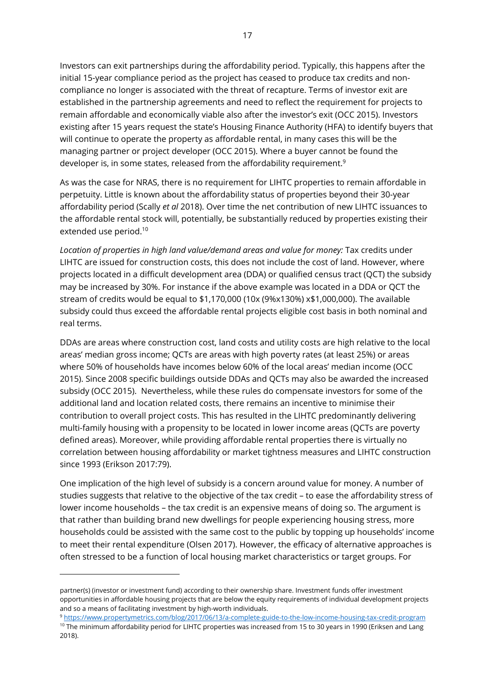Investors can exit partnerships during the affordability period. Typically, this happens after the initial 15-year compliance period as the project has ceased to produce tax credits and noncompliance no longer is associated with the threat of recapture. Terms of investor exit are established in the partnership agreements and need to reflect the requirement for projects to remain affordable and economically viable also after the investor's exit (OCC 2015). Investors existing after 15 years request the state's Housing Finance Authority (HFA) to identify buyers that will continue to operate the property as affordable rental, in many cases this will be the managing partner or project developer (OCC 2015). Where a buyer cannot be found the developer is, in some states, released from the affordability requirement.<sup>9</sup>

As was the case for NRAS, there is no requirement for LIHTC properties to remain affordable in perpetuity. Little is known about the affordability status of properties beyond their 30-year affordability period (Scally *et al* 2018). Over time the net contribution of new LIHTC issuances to the affordable rental stock will, potentially, be substantially reduced by properties existing their extended use period.<sup>10</sup>

*Location of properties in high land value/demand areas and value for money:* Tax credits under LIHTC are issued for construction costs, this does not include the cost of land. However, where projects located in a difficult development area (DDA) or qualified census tract (QCT) the subsidy may be increased by 30%. For instance if the above example was located in a DDA or QCT the stream of credits would be equal to \$1,170,000 (10x (9%x130%) x\$1,000,000). The available subsidy could thus exceed the affordable rental projects eligible cost basis in both nominal and real terms.

DDAs are areas where construction cost, land costs and utility costs are high relative to the local areas' median gross income; QCTs are areas with high poverty rates (at least 25%) or areas where 50% of households have incomes below 60% of the local areas' median income (OCC 2015). Since 2008 specific buildings outside DDAs and QCTs may also be awarded the increased subsidy (OCC 2015). Nevertheless, while these rules do compensate investors for some of the additional land and location related costs, there remains an incentive to minimise their contribution to overall project costs. This has resulted in the LIHTC predominantly delivering multi-family housing with a propensity to be located in lower income areas (QCTs are poverty defined areas). Moreover, while providing affordable rental properties there is virtually no correlation between housing affordability or market tightness measures and LIHTC construction since 1993 (Erikson 2017:79).

One implication of the high level of subsidy is a concern around value for money. A number of studies suggests that relative to the objective of the tax credit – to ease the affordability stress of lower income households – the tax credit is an expensive means of doing so. The argument is that rather than building brand new dwellings for people experiencing housing stress, more households could be assisted with the same cost to the public by topping up households' income to meet their rental expenditure (Olsen 2017). However, the efficacy of alternative approaches is often stressed to be a function of local housing market characteristics or target groups. For

 $\overline{a}$ 

partner(s) (investor or investment fund) according to their ownership share. Investment funds offer investment opportunities in affordable housing projects that are below the equity requirements of individual development projects and so a means of facilitating investment by high-worth individuals.

<sup>9</sup> <https://www.propertymetrics.com/blog/2017/06/13/a-complete-guide-to-the-low-income-housing-tax-credit-program> <sup>10</sup> The minimum affordability period for LIHTC properties was increased from 15 to 30 years in 1990 (Eriksen and Lang 2018).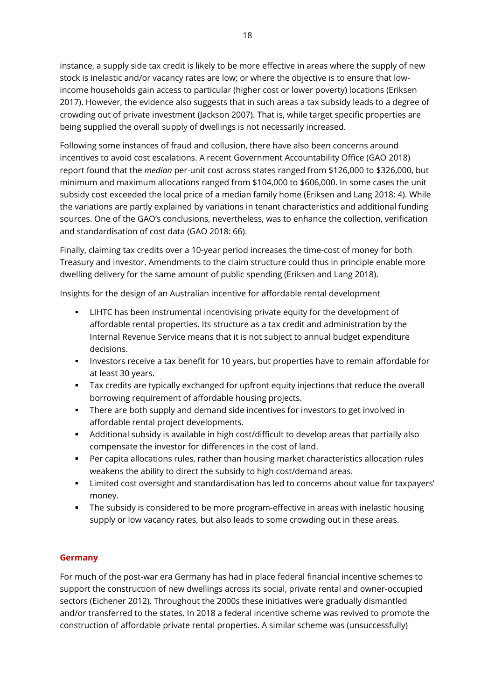instance, a supply side tax credit is likely to be more effective in areas where the supply of new stock is inelastic and/or vacancy rates are low; or where the objective is to ensure that lowincome households gain access to particular (higher cost or lower poverty) locations (Eriksen 2017). However, the evidence also suggests that in such areas a tax subsidy leads to a degree of crowding out of private investment (Jackson 2007). That is, while target specific properties are being supplied the overall supply of dwellings is not necessarily increased.

Following some instances of fraud and collusion, there have also been concerns around incentives to avoid cost escalations. A recent Government Accountability Office (GAO 2018) report found that the *median* per-unit cost across states ranged from \$126,000 to \$326,000, but minimum and maximum allocations ranged from \$104,000 to \$606,000. In some cases the unit subsidy cost exceeded the local price of a median family home (Eriksen and Lang 2018: 4). While the variations are partly explained by variations in tenant characteristics and additional funding sources. One of the GAO's conclusions, nevertheless, was to enhance the collection, verification and standardisation of cost data (GAO 2018: 66).

Finally, claiming tax credits over a 10-year period increases the time-cost of money for both Treasury and investor. Amendments to the claim structure could thus in principle enable more dwelling delivery for the same amount of public spending (Eriksen and Lang 2018).

Insights for the design of an Australian incentive for affordable rental development

- LIHTC has been instrumental incentivising private equity for the development of affordable rental properties. Its structure as a tax credit and administration by the Internal Revenue Service means that it is not subject to annual budget expenditure decisions.
- Investors receive a tax benefit for 10 years, but properties have to remain affordable for at least 30 years.
- Tax credits are typically exchanged for upfront equity injections that reduce the overall borrowing requirement of affordable housing projects.
- There are both supply and demand side incentives for investors to get involved in affordable rental project developments.
- Additional subsidy is available in high cost/difficult to develop areas that partially also compensate the investor for differences in the cost of land.
- Per capita allocations rules, rather than housing market characteristics allocation rules weakens the ability to direct the subsidy to high cost/demand areas.
- Limited cost oversight and standardisation has led to concerns about value for taxpayers' money.
- The subsidy is considered to be more program-effective in areas with inelastic housing supply or low vacancy rates, but also leads to some crowding out in these areas.

## <span id="page-17-0"></span>**Germany**

For much of the post-war era Germany has had in place federal financial incentive schemes to support the construction of new dwellings across its social, private rental and owner-occupied sectors (Eichener 2012). Throughout the 2000s these initiatives were gradually dismantled and/or transferred to the states. In 2018 a federal incentive scheme was revived to promote the construction of affordable private rental properties. A similar scheme was (unsuccessfully)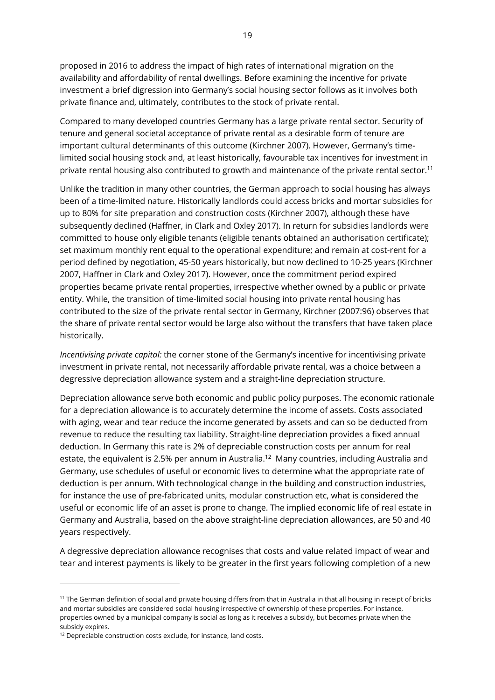proposed in 2016 to address the impact of high rates of international migration on the availability and affordability of rental dwellings. Before examining the incentive for private investment a brief digression into Germany's social housing sector follows as it involves both private finance and, ultimately, contributes to the stock of private rental.

Compared to many developed countries Germany has a large private rental sector. Security of tenure and general societal acceptance of private rental as a desirable form of tenure are important cultural determinants of this outcome (Kirchner 2007). However, Germany's timelimited social housing stock and, at least historically, favourable tax incentives for investment in private rental housing also contributed to growth and maintenance of the private rental sector.<sup>11</sup>

Unlike the tradition in many other countries, the German approach to social housing has always been of a time-limited nature. Historically landlords could access bricks and mortar subsidies for up to 80% for site preparation and construction costs (Kirchner 2007), although these have subsequently declined (Haffner, in Clark and Oxley 2017). In return for subsidies landlords were committed to house only eligible tenants (eligible tenants obtained an authorisation certificate); set maximum monthly rent equal to the operational expenditure; and remain at cost-rent for a period defined by negotiation, 45-50 years historically, but now declined to 10-25 years (Kirchner 2007, Haffner in Clark and Oxley 2017). However, once the commitment period expired properties became private rental properties, irrespective whether owned by a public or private entity. While, the transition of time-limited social housing into private rental housing has contributed to the size of the private rental sector in Germany, Kirchner (2007:96) observes that the share of private rental sector would be large also without the transfers that have taken place historically.

*Incentivising private capital:* the corner stone of the Germany's incentive for incentivising private investment in private rental, not necessarily affordable private rental, was a choice between a degressive depreciation allowance system and a straight-line depreciation structure.

Depreciation allowance serve both economic and public policy purposes. The economic rationale for a depreciation allowance is to accurately determine the income of assets. Costs associated with aging, wear and tear reduce the income generated by assets and can so be deducted from revenue to reduce the resulting tax liability. Straight-line depreciation provides a fixed annual deduction. In Germany this rate is 2% of depreciable construction costs per annum for real estate, the equivalent is 2.5% per annum in Australia.<sup>12</sup> Many countries, including Australia and Germany, use schedules of useful or economic lives to determine what the appropriate rate of deduction is per annum. With technological change in the building and construction industries, for instance the use of pre-fabricated units, modular construction etc, what is considered the useful or economic life of an asset is prone to change. The implied economic life of real estate in Germany and Australia, based on the above straight-line depreciation allowances, are 50 and 40 years respectively.

A degressive depreciation allowance recognises that costs and value related impact of wear and tear and interest payments is likely to be greater in the first years following completion of a new

 $\overline{a}$ 

<sup>&</sup>lt;sup>11</sup> The German definition of social and private housing differs from that in Australia in that all housing in receipt of bricks and mortar subsidies are considered social housing irrespective of ownership of these properties. For instance, properties owned by a municipal company is social as long as it receives a subsidy, but becomes private when the subsidy expires.

<sup>&</sup>lt;sup>12</sup> Depreciable construction costs exclude, for instance, land costs.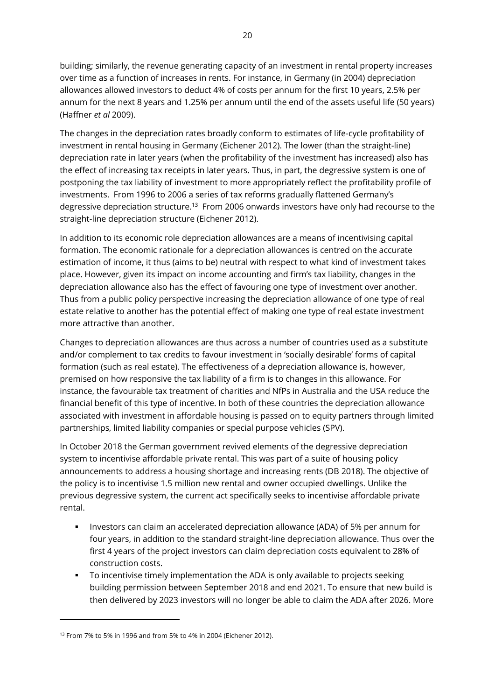building; similarly, the revenue generating capacity of an investment in rental property increases over time as a function of increases in rents. For instance, in Germany (in 2004) depreciation allowances allowed investors to deduct 4% of costs per annum for the first 10 years, 2.5% per annum for the next 8 years and 1.25% per annum until the end of the assets useful life (50 years) (Haffner *et al* 2009).

The changes in the depreciation rates broadly conform to estimates of life-cycle profitability of investment in rental housing in Germany (Eichener 2012). The lower (than the straight-line) depreciation rate in later years (when the profitability of the investment has increased) also has the effect of increasing tax receipts in later years. Thus, in part, the degressive system is one of postponing the tax liability of investment to more appropriately reflect the profitability profile of investments. From 1996 to 2006 a series of tax reforms gradually flattened Germany's degressive depreciation structure.<sup>13</sup> From 2006 onwards investors have only had recourse to the straight-line depreciation structure (Eichener 2012).

In addition to its economic role depreciation allowances are a means of incentivising capital formation. The economic rationale for a depreciation allowances is centred on the accurate estimation of income, it thus (aims to be) neutral with respect to what kind of investment takes place. However, given its impact on income accounting and firm's tax liability, changes in the depreciation allowance also has the effect of favouring one type of investment over another. Thus from a public policy perspective increasing the depreciation allowance of one type of real estate relative to another has the potential effect of making one type of real estate investment more attractive than another.

Changes to depreciation allowances are thus across a number of countries used as a substitute and/or complement to tax credits to favour investment in 'socially desirable' forms of capital formation (such as real estate). The effectiveness of a depreciation allowance is, however, premised on how responsive the tax liability of a firm is to changes in this allowance. For instance, the favourable tax treatment of charities and NfPs in Australia and the USA reduce the financial benefit of this type of incentive. In both of these countries the depreciation allowance associated with investment in affordable housing is passed on to equity partners through limited partnerships, limited liability companies or special purpose vehicles (SPV).

In October 2018 the German government revived elements of the degressive depreciation system to incentivise affordable private rental. This was part of a suite of housing policy announcements to address a housing shortage and increasing rents (DB 2018). The objective of the policy is to incentivise 1.5 million new rental and owner occupied dwellings. Unlike the previous degressive system, the current act specifically seeks to incentivise affordable private rental.

- Investors can claim an accelerated depreciation allowance (ADA) of 5% per annum for four years, in addition to the standard straight-line depreciation allowance. Thus over the first 4 years of the project investors can claim depreciation costs equivalent to 28% of construction costs.
- To incentivise timely implementation the ADA is only available to projects seeking building permission between September 2018 and end 2021. To ensure that new build is then delivered by 2023 investors will no longer be able to claim the ADA after 2026. More

 $\overline{a}$ 

<sup>13</sup> From 7% to 5% in 1996 and from 5% to 4% in 2004 (Eichener 2012).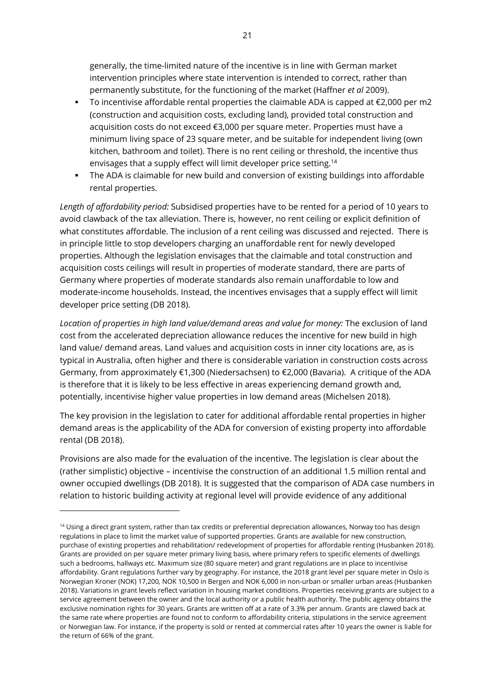generally, the time-limited nature of the incentive is in line with German market intervention principles where state intervention is intended to correct, rather than permanently substitute, for the functioning of the market (Haffner *et al* 2009).

- To incentivise affordable rental properties the claimable ADA is capped at €2,000 per m2 (construction and acquisition costs, excluding land), provided total construction and acquisition costs do not exceed €3,000 per square meter. Properties must have a minimum living space of 23 square meter, and be suitable for independent living (own kitchen, bathroom and toilet). There is no rent ceiling or threshold, the incentive thus envisages that a supply effect will limit developer price setting.<sup>14</sup>
- The ADA is claimable for new build and conversion of existing buildings into affordable rental properties.

*Length of affordability period:* Subsidised properties have to be rented for a period of 10 years to avoid clawback of the tax alleviation. There is, however, no rent ceiling or explicit definition of what constitutes affordable. The inclusion of a rent ceiling was discussed and rejected. There is in principle little to stop developers charging an unaffordable rent for newly developed properties. Although the legislation envisages that the claimable and total construction and acquisition costs ceilings will result in properties of moderate standard, there are parts of Germany where properties of moderate standards also remain unaffordable to low and moderate-income households. Instead, the incentives envisages that a supply effect will limit developer price setting (DB 2018).

*Location of properties in high land value/demand areas and value for money:* The exclusion of land cost from the accelerated depreciation allowance reduces the incentive for new build in high land value/ demand areas. Land values and acquisition costs in inner city locations are, as is typical in Australia, often higher and there is considerable variation in construction costs across Germany, from approximately €1,300 (Niedersachsen) to €2,000 (Bavaria). A critique of the ADA is therefore that it is likely to be less effective in areas experiencing demand growth and, potentially, incentivise higher value properties in low demand areas (Michelsen 2018).

The key provision in the legislation to cater for additional affordable rental properties in higher demand areas is the applicability of the ADA for conversion of existing property into affordable rental (DB 2018).

Provisions are also made for the evaluation of the incentive. The legislation is clear about the (rather simplistic) objective – incentivise the construction of an additional 1.5 million rental and owner occupied dwellings (DB 2018). It is suggested that the comparison of ADA case numbers in relation to historic building activity at regional level will provide evidence of any additional

-

<sup>&</sup>lt;sup>14</sup> Using a direct grant system, rather than tax credits or preferential depreciation allowances, Norway too has design regulations in place to limit the market value of supported properties. Grants are available for new construction, purchase of existing properties and rehabilitation/ redevelopment of properties for affordable renting (Husbanken 2018). Grants are provided on per square meter primary living basis, where primary refers to specific elements of dwellings such a bedrooms, hallways etc. Maximum size (80 square meter) and grant regulations are in place to incentivise affordability. Grant regulations further vary by geography. For instance, the 2018 grant level per square meter in Oslo is Norwegian Kroner (NOK) 17,200, NOK 10,500 in Bergen and NOK 6,000 in non-urban or smaller urban areas (Husbanken 2018). Variations in grant levels reflect variation in housing market conditions. Properties receiving grants are subject to a service agreement between the owner and the local authority or a public health authority. The public agency obtains the exclusive nomination rights for 30 years. Grants are written off at a rate of 3.3% per annum. Grants are clawed back at the same rate where properties are found not to conform to affordability criteria, stipulations in the service agreement or Norwegian law. For instance, if the property is sold or rented at commercial rates after 10 years the owner is liable for the return of 66% of the grant.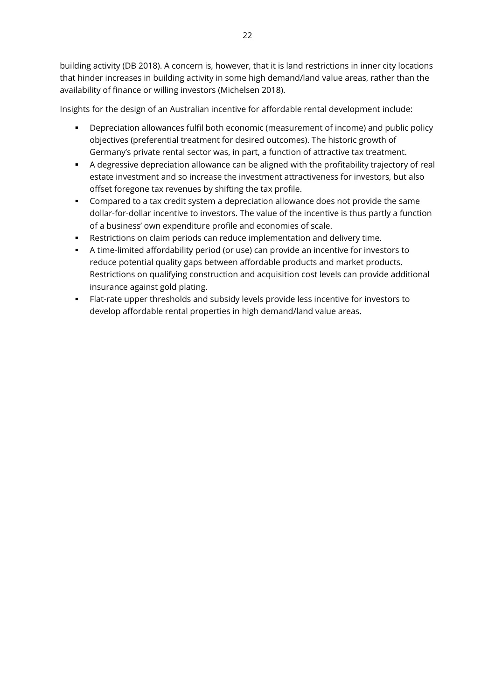building activity (DB 2018). A concern is, however, that it is land restrictions in inner city locations that hinder increases in building activity in some high demand/land value areas, rather than the availability of finance or willing investors (Michelsen 2018).

Insights for the design of an Australian incentive for affordable rental development include:

- Depreciation allowances fulfil both economic (measurement of income) and public policy objectives (preferential treatment for desired outcomes). The historic growth of Germany's private rental sector was, in part, a function of attractive tax treatment.
- A degressive depreciation allowance can be aligned with the profitability trajectory of real estate investment and so increase the investment attractiveness for investors, but also offset foregone tax revenues by shifting the tax profile.
- Compared to a tax credit system a depreciation allowance does not provide the same dollar-for-dollar incentive to investors. The value of the incentive is thus partly a function of a business' own expenditure profile and economies of scale.
- Restrictions on claim periods can reduce implementation and delivery time.
- A time-limited affordability period (or use) can provide an incentive for investors to reduce potential quality gaps between affordable products and market products. Restrictions on qualifying construction and acquisition cost levels can provide additional insurance against gold plating.
- Flat-rate upper thresholds and subsidy levels provide less incentive for investors to develop affordable rental properties in high demand/land value areas.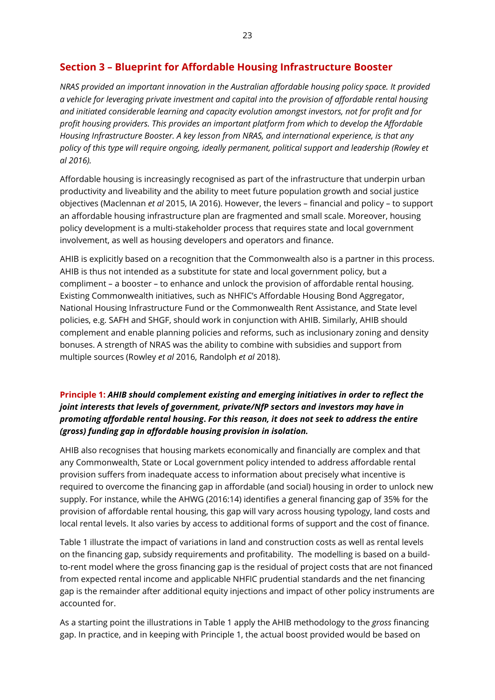# <span id="page-22-0"></span>**Section 3 – Blueprint for Affordable Housing Infrastructure Booster**

*NRAS provided an important innovation in the Australian affordable housing policy space. It provided a vehicle for leveraging private investment and capital into the provision of affordable rental housing and initiated considerable learning and capacity evolution amongst investors, not for profit and for profit housing providers. This provides an important platform from which to develop the Affordable Housing Infrastructure Booster. A key lesson from NRAS, and international experience, is that any policy of this type will require ongoing, ideally permanent, political support and leadership (Rowley et al 2016).*

Affordable housing is increasingly recognised as part of the infrastructure that underpin urban productivity and liveability and the ability to meet future population growth and social justice objectives (Maclennan *et al* 2015, IA 2016). However, the levers – financial and policy – to support an affordable housing infrastructure plan are fragmented and small scale. Moreover, housing policy development is a multi-stakeholder process that requires state and local government involvement, as well as housing developers and operators and finance.

AHIB is explicitly based on a recognition that the Commonwealth also is a partner in this process. AHIB is thus not intended as a substitute for state and local government policy, but a compliment – a booster – to enhance and unlock the provision of affordable rental housing. Existing Commonwealth initiatives, such as NHFIC's Affordable Housing Bond Aggregator, National Housing Infrastructure Fund or the Commonwealth Rent Assistance, and State level policies, e.g. SAFH and SHGF, should work in conjunction with AHIB. Similarly, AHIB should complement and enable planning policies and reforms, such as inclusionary zoning and density bonuses. A strength of NRAS was the ability to combine with subsidies and support from multiple sources (Rowley *et al* 2016, Randolph *et al* 2018).

# **Principle 1:** *AHIB should complement existing and emerging initiatives in order to reflect the joint interests that levels of government, private/NfP sectors and investors may have in promoting affordable rental housing***.** *For this reason, it does not seek to address the entire (gross) funding gap in affordable housing provision in isolation.*

AHIB also recognises that housing markets economically and financially are complex and that any Commonwealth, State or Local government policy intended to address affordable rental provision suffers from inadequate access to information about precisely what incentive is required to overcome the financing gap in affordable (and social) housing in order to unlock new supply. For instance, while the AHWG (2016:14) identifies a general financing gap of 35% for the provision of affordable rental housing, this gap will vary across housing typology, land costs and local rental levels. It also varies by access to additional forms of support and the cost of finance.

Table 1 illustrate the impact of variations in land and construction costs as well as rental levels on the financing gap, subsidy requirements and profitability. The modelling is based on a buildto-rent model where the gross financing gap is the residual of project costs that are not financed from expected rental income and applicable NHFIC prudential standards and the net financing gap is the remainder after additional equity injections and impact of other policy instruments are accounted for.

As a starting point the illustrations in Table 1 apply the AHIB methodology to the *gross* financing gap. In practice, and in keeping with Principle 1, the actual boost provided would be based on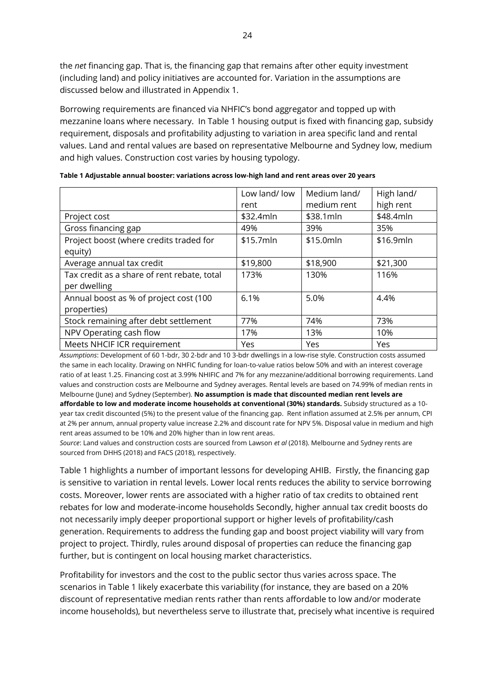the *net* financing gap. That is, the financing gap that remains after other equity investment (including land) and policy initiatives are accounted for. Variation in the assumptions are discussed below and illustrated in Appendix 1.

Borrowing requirements are financed via NHFIC's bond aggregator and topped up with mezzanine loans where necessary. In Table 1 housing output is fixed with financing gap, subsidy requirement, disposals and profitability adjusting to variation in area specific land and rental values. Land and rental values are based on representative Melbourne and Sydney low, medium and high values. Construction cost varies by housing typology.

|                                             | Low land/ low | Medium land/ | High land/ |
|---------------------------------------------|---------------|--------------|------------|
|                                             | rent          | medium rent  | high rent  |
| Project cost                                | \$32.4mln     | \$38.1mln    | \$48.4mln  |
| Gross financing gap                         | 49%           | 39%          | 35%        |
| Project boost (where credits traded for     | \$15.7mln     | \$15.0mln    | \$16.9mln  |
| equity)                                     |               |              |            |
| Average annual tax credit                   | \$19,800      | \$18,900     | \$21,300   |
| Tax credit as a share of rent rebate, total | 173%          | 130%         | 116%       |
| per dwelling                                |               |              |            |
| Annual boost as % of project cost (100      | 6.1%          | 5.0%         | 4.4%       |
| properties)                                 |               |              |            |
| Stock remaining after debt settlement       | 77%           | 74%          | 73%        |
| NPV Operating cash flow                     | 17%           | 13%          | 10%        |
| Meets NHCIF ICR requirement                 | Yes           | Yes          | Yes        |

| Table 1 Adjustable annual booster: variations across low-high land and rent areas over 20 years |  |
|-------------------------------------------------------------------------------------------------|--|
|-------------------------------------------------------------------------------------------------|--|

*Assumptions*: Development of 60 1-bdr, 30 2-bdr and 10 3-bdr dwellings in a low-rise style. Construction costs assumed the same in each locality. Drawing on NHFIC funding for loan-to-value ratios below 50% and with an interest coverage ratio of at least 1.25. Financing cost at 3.99% NHIFIC and 7% for any mezzanine/additional borrowing requirements. Land values and construction costs are Melbourne and Sydney averages. Rental levels are based on 74.99% of median rents in Melbourne (June) and Sydney (September). **No assumption is made that discounted median rent levels are affordable to low and moderate income households at conventional (30%) standards.** Subsidy structured as a 10 year tax credit discounted (5%) to the present value of the financing gap. Rent inflation assumed at 2.5% per annum, CPI at 2% per annum, annual property value increase 2.2% and discount rate for NPV 5%. Disposal value in medium and high rent areas assumed to be 10% and 20% higher than in low rent areas.

*Source*: Land values and construction costs are sourced from Lawson *et al* (2018). Melbourne and Sydney rents are sourced from DHHS (2018) and FACS (2018), respectively.

Table 1 highlights a number of important lessons for developing AHIB. Firstly, the financing gap is sensitive to variation in rental levels. Lower local rents reduces the ability to service borrowing costs. Moreover, lower rents are associated with a higher ratio of tax credits to obtained rent rebates for low and moderate-income households Secondly, higher annual tax credit boosts do not necessarily imply deeper proportional support or higher levels of profitability/cash generation. Requirements to address the funding gap and boost project viability will vary from project to project. Thirdly, rules around disposal of properties can reduce the financing gap further, but is contingent on local housing market characteristics.

Profitability for investors and the cost to the public sector thus varies across space. The scenarios in Table 1 likely exacerbate this variability (for instance, they are based on a 20% discount of representative median rents rather than rents affordable to low and/or moderate income households), but nevertheless serve to illustrate that, precisely what incentive is required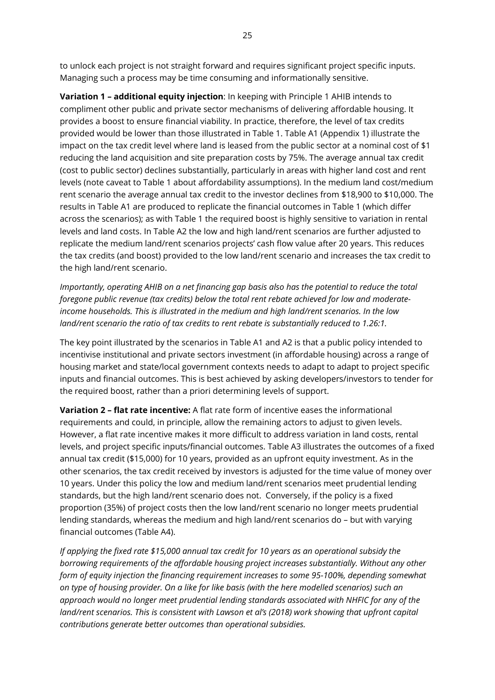to unlock each project is not straight forward and requires significant project specific inputs. Managing such a process may be time consuming and informationally sensitive.

**Variation 1 – additional equity injection**: In keeping with Principle 1 AHIB intends to compliment other public and private sector mechanisms of delivering affordable housing. It provides a boost to ensure financial viability. In practice, therefore, the level of tax credits provided would be lower than those illustrated in Table 1. Table A1 (Appendix 1) illustrate the impact on the tax credit level where land is leased from the public sector at a nominal cost of \$1 reducing the land acquisition and site preparation costs by 75%. The average annual tax credit (cost to public sector) declines substantially, particularly in areas with higher land cost and rent levels (note caveat to Table 1 about affordability assumptions). In the medium land cost/medium rent scenario the average annual tax credit to the investor declines from \$18,900 to \$10,000. The results in Table A1 are produced to replicate the financial outcomes in Table 1 (which differ across the scenarios); as with Table 1 the required boost is highly sensitive to variation in rental levels and land costs. In Table A2 the low and high land/rent scenarios are further adjusted to replicate the medium land/rent scenarios projects' cash flow value after 20 years. This reduces the tax credits (and boost) provided to the low land/rent scenario and increases the tax credit to the high land/rent scenario.

*Importantly, operating AHIB on a net financing gap basis also has the potential to reduce the total foregone public revenue (tax credits) below the total rent rebate achieved for low and moderateincome households. This is illustrated in the medium and high land/rent scenarios. In the low land/rent scenario the ratio of tax credits to rent rebate is substantially reduced to 1.26:1.* 

The key point illustrated by the scenarios in Table A1 and A2 is that a public policy intended to incentivise institutional and private sectors investment (in affordable housing) across a range of housing market and state/local government contexts needs to adapt to adapt to project specific inputs and financial outcomes. This is best achieved by asking developers/investors to tender for the required boost, rather than a priori determining levels of support.

**Variation 2 – flat rate incentive:** A flat rate form of incentive eases the informational requirements and could, in principle, allow the remaining actors to adjust to given levels. However, a flat rate incentive makes it more difficult to address variation in land costs, rental levels, and project specific inputs/financial outcomes. Table A3 illustrates the outcomes of a fixed annual tax credit (\$15,000) for 10 years, provided as an upfront equity investment. As in the other scenarios, the tax credit received by investors is adjusted for the time value of money over 10 years. Under this policy the low and medium land/rent scenarios meet prudential lending standards, but the high land/rent scenario does not. Conversely, if the policy is a fixed proportion (35%) of project costs then the low land/rent scenario no longer meets prudential lending standards, whereas the medium and high land/rent scenarios do – but with varying financial outcomes (Table A4).

*If applying the fixed rate \$15,000 annual tax credit for 10 years as an operational subsidy the borrowing requirements of the affordable housing project increases substantially. Without any other form of equity injection the financing requirement increases to some 95-100%, depending somewhat on type of housing provider. On a like for like basis (with the here modelled scenarios) such an approach would no longer meet prudential lending standards associated with NHFIC for any of the land/rent scenarios. This is consistent with Lawson et al's (2018) work showing that upfront capital contributions generate better outcomes than operational subsidies.*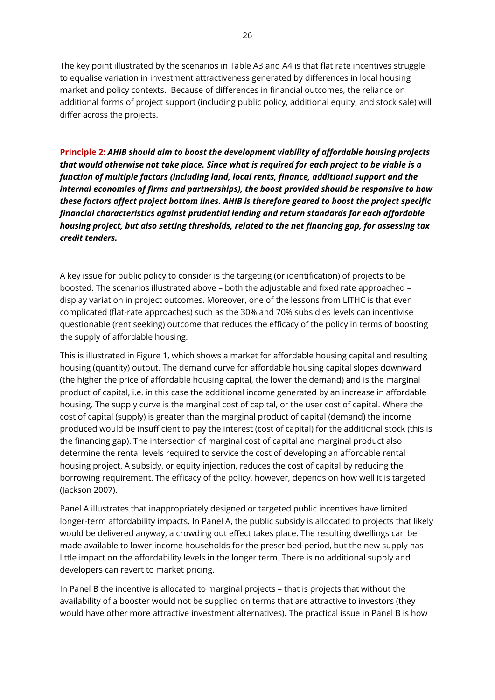The key point illustrated by the scenarios in Table A3 and A4 is that flat rate incentives struggle to equalise variation in investment attractiveness generated by differences in local housing market and policy contexts. Because of differences in financial outcomes, the reliance on additional forms of project support (including public policy, additional equity, and stock sale) will differ across the projects.

**Principle 2:** *AHIB should aim to boost the development viability of affordable housing projects that would otherwise not take place. Since what is required for each project to be viable is a function of multiple factors (including land, local rents, finance, additional support and the internal economies of firms and partnerships), the boost provided should be responsive to how these factors affect project bottom lines. AHIB is therefore geared to boost the project specific financial characteristics against prudential lending and return standards for each affordable housing project, but also setting thresholds, related to the net financing gap, for assessing tax credit tenders.* 

A key issue for public policy to consider is the targeting (or identification) of projects to be boosted. The scenarios illustrated above – both the adjustable and fixed rate approached – display variation in project outcomes. Moreover, one of the lessons from LITHC is that even complicated (flat-rate approaches) such as the 30% and 70% subsidies levels can incentivise questionable (rent seeking) outcome that reduces the efficacy of the policy in terms of boosting the supply of affordable housing.

This is illustrated in Figure 1, which shows a market for affordable housing capital and resulting housing (quantity) output. The demand curve for affordable housing capital slopes downward (the higher the price of affordable housing capital, the lower the demand) and is the marginal product of capital, i.e. in this case the additional income generated by an increase in affordable housing. The supply curve is the marginal cost of capital, or the user cost of capital. Where the cost of capital (supply) is greater than the marginal product of capital (demand) the income produced would be insufficient to pay the interest (cost of capital) for the additional stock (this is the financing gap). The intersection of marginal cost of capital and marginal product also determine the rental levels required to service the cost of developing an affordable rental housing project. A subsidy, or equity injection, reduces the cost of capital by reducing the borrowing requirement. The efficacy of the policy, however, depends on how well it is targeted (Jackson 2007).

Panel A illustrates that inappropriately designed or targeted public incentives have limited longer-term affordability impacts. In Panel A, the public subsidy is allocated to projects that likely would be delivered anyway, a crowding out effect takes place. The resulting dwellings can be made available to lower income households for the prescribed period, but the new supply has little impact on the affordability levels in the longer term. There is no additional supply and developers can revert to market pricing.

In Panel B the incentive is allocated to marginal projects – that is projects that without the availability of a booster would not be supplied on terms that are attractive to investors (they would have other more attractive investment alternatives). The practical issue in Panel B is how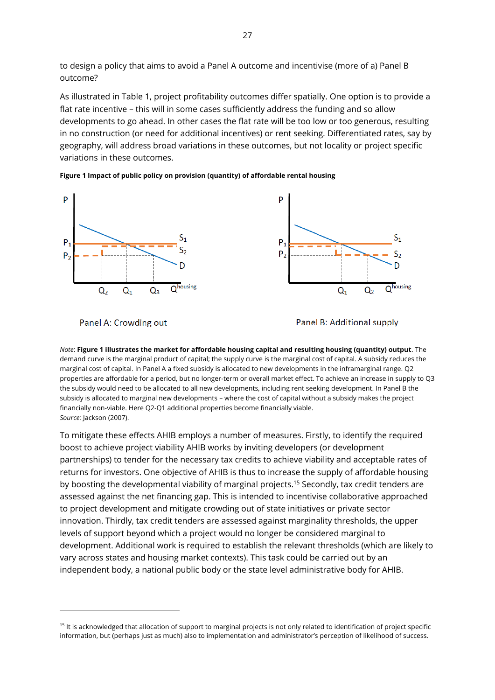to design a policy that aims to avoid a Panel A outcome and incentivise (more of a) Panel B outcome?

As illustrated in Table 1, project profitability outcomes differ spatially. One option is to provide a flat rate incentive – this will in some cases sufficiently address the funding and so allow developments to go ahead. In other cases the flat rate will be too low or too generous, resulting in no construction (or need for additional incentives) or rent seeking. Differentiated rates, say by geography, will address broad variations in these outcomes, but not locality or project specific variations in these outcomes.

**Figure 1 Impact of public policy on provision (quantity) of affordable rental housing**



Panel A: Crowding out

 $\overline{a}$ 

Panel B: Additional supply

*Note*: **Figure 1 illustrates the market for affordable housing capital and resulting housing (quantity) output**. The demand curve is the marginal product of capital; the supply curve is the marginal cost of capital. A subsidy reduces the marginal cost of capital. In Panel A a fixed subsidy is allocated to new developments in the inframarginal range. Q2 properties are affordable for a period, but no longer-term or overall market effect. To achieve an increase in supply to Q3 the subsidy would need to be allocated to all new developments, including rent seeking development. In Panel B the subsidy is allocated to marginal new developments – where the cost of capital without a subsidy makes the project financially non-viable. Here Q2-Q1 additional properties become financially viable. *Source:* Jackson (2007).

To mitigate these effects AHIB employs a number of measures. Firstly, to identify the required boost to achieve project viability AHIB works by inviting developers (or development partnerships) to tender for the necessary tax credits to achieve viability and acceptable rates of returns for investors. One objective of AHIB is thus to increase the supply of affordable housing by boosting the developmental viability of marginal projects.<sup>15</sup> Secondly, tax credit tenders are assessed against the net financing gap. This is intended to incentivise collaborative approached to project development and mitigate crowding out of state initiatives or private sector innovation. Thirdly, tax credit tenders are assessed against marginality thresholds, the upper levels of support beyond which a project would no longer be considered marginal to development. Additional work is required to establish the relevant thresholds (which are likely to vary across states and housing market contexts). This task could be carried out by an independent body, a national public body or the state level administrative body for AHIB.

<sup>&</sup>lt;sup>15</sup> It is acknowledged that allocation of support to marginal projects is not only related to identification of project specific information, but (perhaps just as much) also to implementation and administrator's perception of likelihood of success.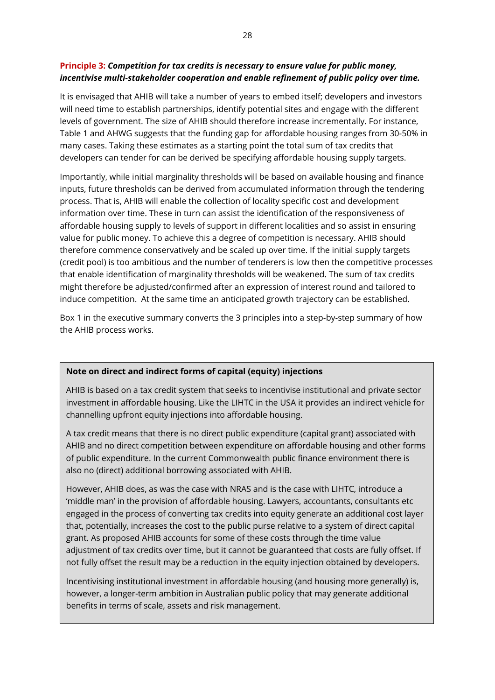## **Principle 3:** *Competition for tax credits is necessary to ensure value for public money, incentivise multi-stakeholder cooperation and enable refinement of public policy over time.*

It is envisaged that AHIB will take a number of years to embed itself; developers and investors will need time to establish partnerships, identify potential sites and engage with the different levels of government. The size of AHIB should therefore increase incrementally. For instance, Table 1 and AHWG suggests that the funding gap for affordable housing ranges from 30-50% in many cases. Taking these estimates as a starting point the total sum of tax credits that developers can tender for can be derived be specifying affordable housing supply targets.

Importantly, while initial marginality thresholds will be based on available housing and finance inputs, future thresholds can be derived from accumulated information through the tendering process. That is, AHIB will enable the collection of locality specific cost and development information over time. These in turn can assist the identification of the responsiveness of affordable housing supply to levels of support in different localities and so assist in ensuring value for public money. To achieve this a degree of competition is necessary. AHIB should therefore commence conservatively and be scaled up over time. If the initial supply targets (credit pool) is too ambitious and the number of tenderers is low then the competitive processes that enable identification of marginality thresholds will be weakened. The sum of tax credits might therefore be adjusted/confirmed after an expression of interest round and tailored to induce competition. At the same time an anticipated growth trajectory can be established.

Box 1 in the executive summary converts the 3 principles into a step-by-step summary of how the AHIB process works.

## **Note on direct and indirect forms of capital (equity) injections**

AHIB is based on a tax credit system that seeks to incentivise institutional and private sector investment in affordable housing. Like the LIHTC in the USA it provides an indirect vehicle for channelling upfront equity injections into affordable housing.

A tax credit means that there is no direct public expenditure (capital grant) associated with AHIB and no direct competition between expenditure on affordable housing and other forms of public expenditure. In the current Commonwealth public finance environment there is also no (direct) additional borrowing associated with AHIB.

However, AHIB does, as was the case with NRAS and is the case with LIHTC, introduce a 'middle man' in the provision of affordable housing. Lawyers, accountants, consultants etc engaged in the process of converting tax credits into equity generate an additional cost layer that, potentially, increases the cost to the public purse relative to a system of direct capital grant. As proposed AHIB accounts for some of these costs through the time value adjustment of tax credits over time, but it cannot be guaranteed that costs are fully offset. If not fully offset the result may be a reduction in the equity injection obtained by developers.

Incentivising institutional investment in affordable housing (and housing more generally) is, however, a longer-term ambition in Australian public policy that may generate additional benefits in terms of scale, assets and risk management.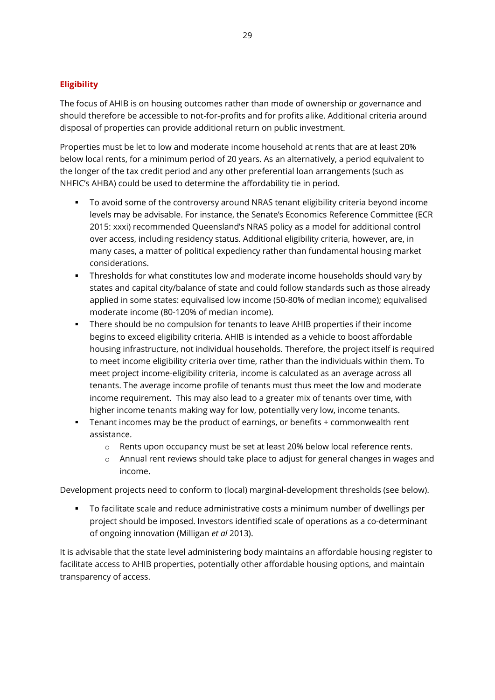## <span id="page-28-0"></span>**Eligibility**

The focus of AHIB is on housing outcomes rather than mode of ownership or governance and should therefore be accessible to not-for-profits and for profits alike. Additional criteria around disposal of properties can provide additional return on public investment.

Properties must be let to low and moderate income household at rents that are at least 20% below local rents, for a minimum period of 20 years. As an alternatively, a period equivalent to the longer of the tax credit period and any other preferential loan arrangements (such as NHFIC's AHBA) could be used to determine the affordability tie in period.

- To avoid some of the controversy around NRAS tenant eligibility criteria beyond income levels may be advisable. For instance, the Senate's Economics Reference Committee (ECR 2015: xxxi) recommended Queensland's NRAS policy as a model for additional control over access, including residency status. Additional eligibility criteria, however, are, in many cases, a matter of political expediency rather than fundamental housing market considerations.
- Thresholds for what constitutes low and moderate income households should vary by states and capital city/balance of state and could follow standards such as those already applied in some states: equivalised low income (50-80% of median income); equivalised moderate income (80-120% of median income).
- There should be no compulsion for tenants to leave AHIB properties if their income begins to exceed eligibility criteria. AHIB is intended as a vehicle to boost affordable housing infrastructure, not individual households. Therefore, the project itself is required to meet income eligibility criteria over time, rather than the individuals within them. To meet project income-eligibility criteria, income is calculated as an average across all tenants. The average income profile of tenants must thus meet the low and moderate income requirement. This may also lead to a greater mix of tenants over time, with higher income tenants making way for low, potentially very low, income tenants.
- Tenant incomes may be the product of earnings, or benefits + commonwealth rent assistance.
	- o Rents upon occupancy must be set at least 20% below local reference rents.
	- $\circ$  Annual rent reviews should take place to adjust for general changes in wages and income.

Development projects need to conform to (local) marginal-development thresholds (see below).

 To facilitate scale and reduce administrative costs a minimum number of dwellings per project should be imposed. Investors identified scale of operations as a co-determinant of ongoing innovation (Milligan *et al* 2013).

It is advisable that the state level administering body maintains an affordable housing register to facilitate access to AHIB properties, potentially other affordable housing options, and maintain transparency of access.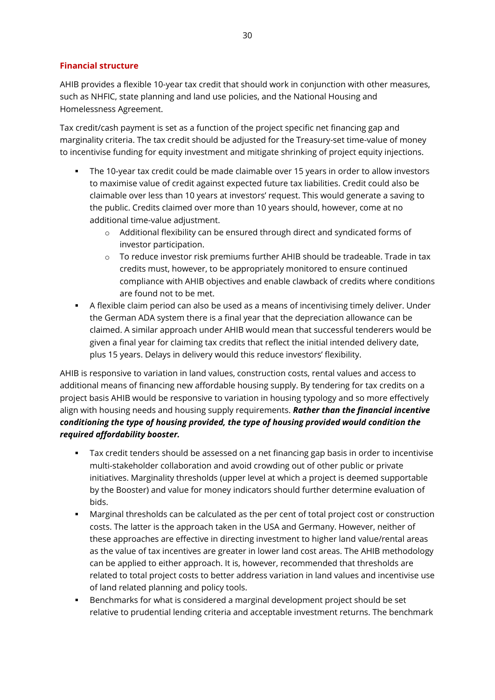#### <span id="page-29-0"></span>**Financial structure**

AHIB provides a flexible 10-year tax credit that should work in conjunction with other measures, such as NHFIC, state planning and land use policies, and the National Housing and Homelessness Agreement.

Tax credit/cash payment is set as a function of the project specific net financing gap and marginality criteria. The tax credit should be adjusted for the Treasury-set time-value of money to incentivise funding for equity investment and mitigate shrinking of project equity injections.

- The 10-year tax credit could be made claimable over 15 years in order to allow investors to maximise value of credit against expected future tax liabilities. Credit could also be claimable over less than 10 years at investors' request. This would generate a saving to the public. Credits claimed over more than 10 years should, however, come at no additional time-value adjustment.
	- o Additional flexibility can be ensured through direct and syndicated forms of investor participation.
	- $\circ$  To reduce investor risk premiums further AHIB should be tradeable. Trade in tax credits must, however, to be appropriately monitored to ensure continued compliance with AHIB objectives and enable clawback of credits where conditions are found not to be met.
- A flexible claim period can also be used as a means of incentivising timely deliver. Under the German ADA system there is a final year that the depreciation allowance can be claimed. A similar approach under AHIB would mean that successful tenderers would be given a final year for claiming tax credits that reflect the initial intended delivery date, plus 15 years. Delays in delivery would this reduce investors' flexibility.

AHIB is responsive to variation in land values, construction costs, rental values and access to additional means of financing new affordable housing supply. By tendering for tax credits on a project basis AHIB would be responsive to variation in housing typology and so more effectively align with housing needs and housing supply requirements. *Rather than the financial incentive conditioning the type of housing provided, the type of housing provided would condition the required affordability booster.* 

- Tax credit tenders should be assessed on a net financing gap basis in order to incentivise multi-stakeholder collaboration and avoid crowding out of other public or private initiatives. Marginality thresholds (upper level at which a project is deemed supportable by the Booster) and value for money indicators should further determine evaluation of bids.
- Marginal thresholds can be calculated as the per cent of total project cost or construction costs. The latter is the approach taken in the USA and Germany. However, neither of these approaches are effective in directing investment to higher land value/rental areas as the value of tax incentives are greater in lower land cost areas. The AHIB methodology can be applied to either approach. It is, however, recommended that thresholds are related to total project costs to better address variation in land values and incentivise use of land related planning and policy tools.
- Benchmarks for what is considered a marginal development project should be set relative to prudential lending criteria and acceptable investment returns. The benchmark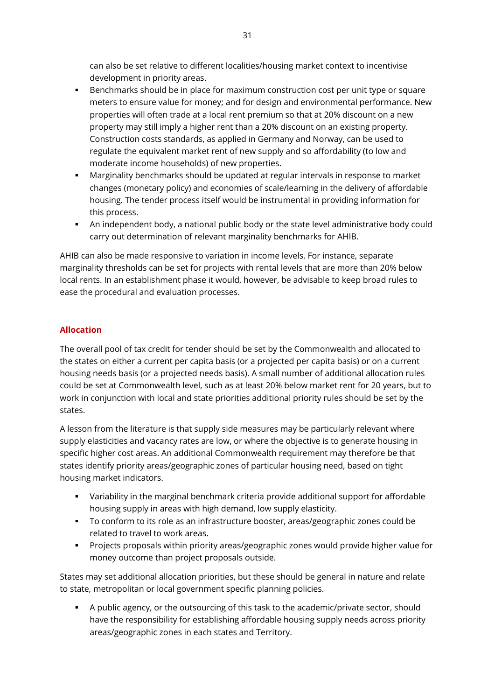can also be set relative to different localities/housing market context to incentivise development in priority areas.

- Benchmarks should be in place for maximum construction cost per unit type or square meters to ensure value for money; and for design and environmental performance. New properties will often trade at a local rent premium so that at 20% discount on a new property may still imply a higher rent than a 20% discount on an existing property. Construction costs standards, as applied in Germany and Norway, can be used to regulate the equivalent market rent of new supply and so affordability (to low and moderate income households) of new properties.
- Marginality benchmarks should be updated at regular intervals in response to market changes (monetary policy) and economies of scale/learning in the delivery of affordable housing. The tender process itself would be instrumental in providing information for this process.
- An independent body, a national public body or the state level administrative body could carry out determination of relevant marginality benchmarks for AHIB.

AHIB can also be made responsive to variation in income levels. For instance, separate marginality thresholds can be set for projects with rental levels that are more than 20% below local rents. In an establishment phase it would, however, be advisable to keep broad rules to ease the procedural and evaluation processes.

# <span id="page-30-0"></span>**Allocation**

The overall pool of tax credit for tender should be set by the Commonwealth and allocated to the states on either a current per capita basis (or a projected per capita basis) or on a current housing needs basis (or a projected needs basis). A small number of additional allocation rules could be set at Commonwealth level, such as at least 20% below market rent for 20 years, but to work in conjunction with local and state priorities additional priority rules should be set by the states.

A lesson from the literature is that supply side measures may be particularly relevant where supply elasticities and vacancy rates are low, or where the objective is to generate housing in specific higher cost areas. An additional Commonwealth requirement may therefore be that states identify priority areas/geographic zones of particular housing need, based on tight housing market indicators.

- Variability in the marginal benchmark criteria provide additional support for affordable housing supply in areas with high demand, low supply elasticity.
- To conform to its role as an infrastructure booster, areas/geographic zones could be related to travel to work areas.
- Projects proposals within priority areas/geographic zones would provide higher value for money outcome than project proposals outside.

States may set additional allocation priorities, but these should be general in nature and relate to state, metropolitan or local government specific planning policies.

 A public agency, or the outsourcing of this task to the academic/private sector, should have the responsibility for establishing affordable housing supply needs across priority areas/geographic zones in each states and Territory.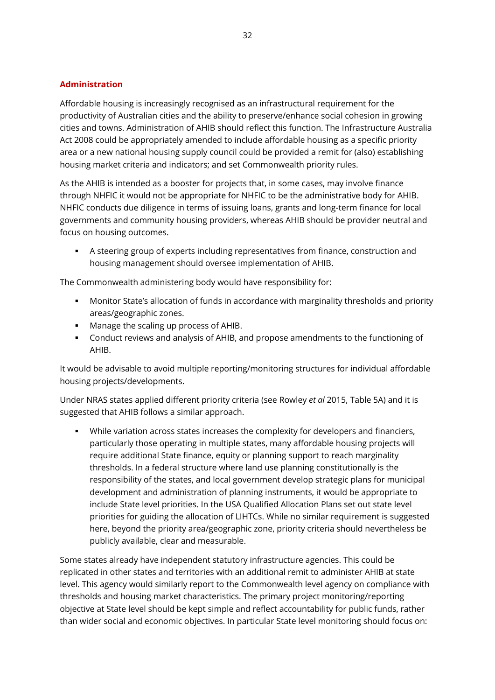#### <span id="page-31-0"></span>**Administration**

Affordable housing is increasingly recognised as an infrastructural requirement for the productivity of Australian cities and the ability to preserve/enhance social cohesion in growing cities and towns. Administration of AHIB should reflect this function. The Infrastructure Australia Act 2008 could be appropriately amended to include affordable housing as a specific priority area or a new national housing supply council could be provided a remit for (also) establishing housing market criteria and indicators; and set Commonwealth priority rules.

As the AHIB is intended as a booster for projects that, in some cases, may involve finance through NHFIC it would not be appropriate for NHFIC to be the administrative body for AHIB. NHFIC conducts due diligence in terms of issuing loans, grants and long-term finance for local governments and community housing providers, whereas AHIB should be provider neutral and focus on housing outcomes.

 A steering group of experts including representatives from finance, construction and housing management should oversee implementation of AHIB.

The Commonwealth administering body would have responsibility for:

- Monitor State's allocation of funds in accordance with marginality thresholds and priority areas/geographic zones.
- **Manage the scaling up process of AHIB.**
- Conduct reviews and analysis of AHIB, and propose amendments to the functioning of AHIB.

It would be advisable to avoid multiple reporting/monitoring structures for individual affordable housing projects/developments.

Under NRAS states applied different priority criteria (see Rowley *et al* 2015, Table 5A) and it is suggested that AHIB follows a similar approach.

 While variation across states increases the complexity for developers and financiers, particularly those operating in multiple states, many affordable housing projects will require additional State finance, equity or planning support to reach marginality thresholds. In a federal structure where land use planning constitutionally is the responsibility of the states, and local government develop strategic plans for municipal development and administration of planning instruments, it would be appropriate to include State level priorities. In the USA Qualified Allocation Plans set out state level priorities for guiding the allocation of LIHTCs. While no similar requirement is suggested here, beyond the priority area/geographic zone, priority criteria should nevertheless be publicly available, clear and measurable.

Some states already have independent statutory infrastructure agencies. This could be replicated in other states and territories with an additional remit to administer AHIB at state level. This agency would similarly report to the Commonwealth level agency on compliance with thresholds and housing market characteristics. The primary project monitoring/reporting objective at State level should be kept simple and reflect accountability for public funds, rather than wider social and economic objectives. In particular State level monitoring should focus on: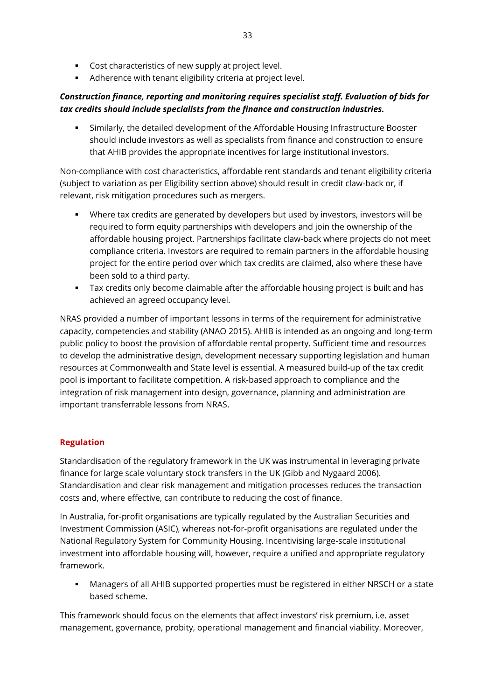- **Cost characteristics of new supply at project level.**
- Adherence with tenant eligibility criteria at project level.

# *Construction finance, reporting and monitoring requires specialist staff. Evaluation of bids for tax credits should include specialists from the finance and construction industries.*

 Similarly, the detailed development of the Affordable Housing Infrastructure Booster should include investors as well as specialists from finance and construction to ensure that AHIB provides the appropriate incentives for large institutional investors.

Non-compliance with cost characteristics, affordable rent standards and tenant eligibility criteria (subject to variation as per Eligibility section above) should result in credit claw-back or, if relevant, risk mitigation procedures such as mergers.

- Where tax credits are generated by developers but used by investors, investors will be required to form equity partnerships with developers and join the ownership of the affordable housing project. Partnerships facilitate claw-back where projects do not meet compliance criteria. Investors are required to remain partners in the affordable housing project for the entire period over which tax credits are claimed, also where these have been sold to a third party.
- Tax credits only become claimable after the affordable housing project is built and has achieved an agreed occupancy level.

NRAS provided a number of important lessons in terms of the requirement for administrative capacity, competencies and stability (ANAO 2015). AHIB is intended as an ongoing and long-term public policy to boost the provision of affordable rental property. Sufficient time and resources to develop the administrative design, development necessary supporting legislation and human resources at Commonwealth and State level is essential. A measured build-up of the tax credit pool is important to facilitate competition. A risk-based approach to compliance and the integration of risk management into design, governance, planning and administration are important transferrable lessons from NRAS.

## <span id="page-32-0"></span>**Regulation**

Standardisation of the regulatory framework in the UK was instrumental in leveraging private finance for large scale voluntary stock transfers in the UK (Gibb and Nygaard 2006). Standardisation and clear risk management and mitigation processes reduces the transaction costs and, where effective, can contribute to reducing the cost of finance.

In Australia, for-profit organisations are typically regulated by the Australian Securities and Investment Commission (ASIC), whereas not-for-profit organisations are regulated under the National Regulatory System for Community Housing. Incentivising large-scale institutional investment into affordable housing will, however, require a unified and appropriate regulatory framework.

 Managers of all AHIB supported properties must be registered in either NRSCH or a state based scheme.

This framework should focus on the elements that affect investors' risk premium, i.e. asset management, governance, probity, operational management and financial viability. Moreover,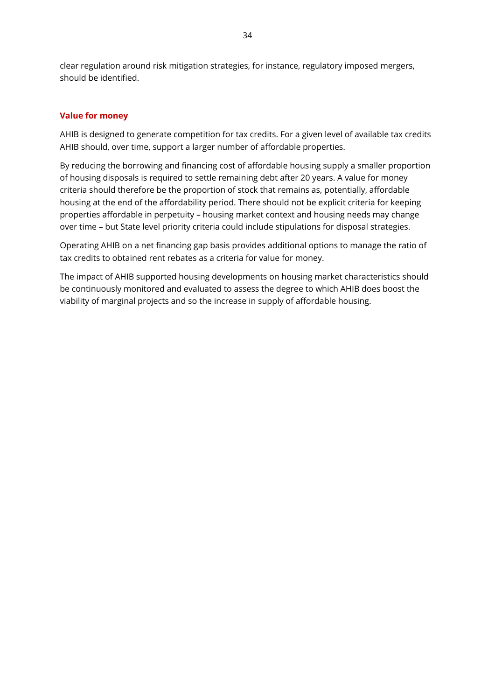clear regulation around risk mitigation strategies, for instance, regulatory imposed mergers, should be identified.

## <span id="page-33-0"></span>**Value for money**

AHIB is designed to generate competition for tax credits. For a given level of available tax credits AHIB should, over time, support a larger number of affordable properties.

By reducing the borrowing and financing cost of affordable housing supply a smaller proportion of housing disposals is required to settle remaining debt after 20 years. A value for money criteria should therefore be the proportion of stock that remains as, potentially, affordable housing at the end of the affordability period. There should not be explicit criteria for keeping properties affordable in perpetuity – housing market context and housing needs may change over time – but State level priority criteria could include stipulations for disposal strategies.

Operating AHIB on a net financing gap basis provides additional options to manage the ratio of tax credits to obtained rent rebates as a criteria for value for money.

The impact of AHIB supported housing developments on housing market characteristics should be continuously monitored and evaluated to assess the degree to which AHIB does boost the viability of marginal projects and so the increase in supply of affordable housing.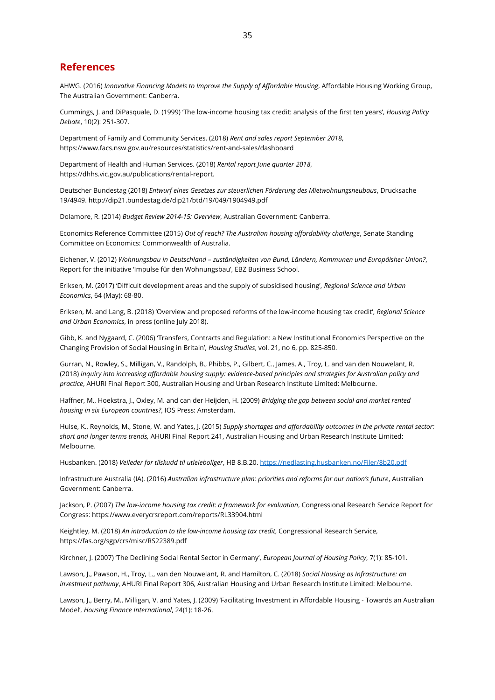#### <span id="page-34-0"></span>**References**

AHWG. (2016) *Innovative Financing Models to Improve the Supply of Affordable Housing*, Affordable Housing Working Group, The Australian Government: Canberra.

Cummings, J. and DiPasquale, D. (1999) 'The low-income housing tax credit: analysis of the first ten years', *Housing Policy Debate*, 10(2): 251-307.

Department of Family and Community Services. (2018) *Rent and sales report September 2018*, https://www.facs.nsw.gov.au/resources/statistics/rent-and-sales/dashboard

Department of Health and Human Services. (2018) *Rental report June quarter 2018*, https://dhhs.vic.gov.au/publications/rental-report.

Deutscher Bundestag (2018) *Entwurf eines Gesetzes zur steuerlichen Förderung des Mietwohnungsneubaus*, Drucksache 19/4949. http://dip21.bundestag.de/dip21/btd/19/049/1904949.pdf

Dolamore, R. (2014) *Budget Review 2014-15: Overview*, Australian Government: Canberra.

Economics Reference Committee (2015) *Out of reach? The Australian housing affordability challenge*, Senate Standing Committee on Economics: Commonwealth of Australia.

Eichener, V. (2012) *Wohnungsbau in Deutschland – zuständigkeiten von Bund, Ländern, Kommunen und Europäisher Union?*, Report for the initiative 'Impulse für den Wohnungsbau', EBZ Business School.

Eriksen, M. (2017) 'Difficult development areas and the supply of subsidised housing', *Regional Science and Urban Economics*, 64 (May): 68-80.

Eriksen, M. and Lang, B. (2018) 'Overview and proposed reforms of the low-income housing tax credit', *Regional Science and Urban Economics*, in press (online July 2018).

Gibb, K. and Nygaard, C. (2006) 'Transfers, Contracts and Regulation: a New Institutional Economics Perspective on the Changing Provision of Social Housing in Britain', *Housing Studies*, vol. 21, no 6, pp. 825-850.

Gurran, N., Rowley, S., Milligan, V., Randolph, B., Phibbs, P., Gilbert, C., James, A., Troy, L. and van den Nouwelant, R. (2018) *Inquiry into increasing affordable housing supply: evidence-based principles and strategies for Australian policy and practice*, AHURI Final Report 300, Australian Housing and Urban Research Institute Limited: Melbourne.

Haffner, M., Hoekstra, J., Oxley, M. and can der Heijden, H. (2009) *Bridging the gap between social and market rented housing in six European countries?*, IOS Press: Amsterdam.

Hulse, K., Reynolds, M., Stone, W. and Yates, J. (2015) *Supply shortages and affordability outcomes in the private rental sector: short and longer terms trends,* AHURI Final Report 241, Australian Housing and Urban Research Institute Limited: Melbourne.

Husbanken. (2018) *Veileder for tilskudd til utleieboliger*, HB 8.B.20.<https://nedlasting.husbanken.no/Filer/8b20.pdf>

Infrastructure Australia (IA). (2016) *Australian infrastructure plan: priorities and reforms for our nation's future*, Australian Government: Canberra.

Jackson, P. (2007) *The low-income housing tax credit: a framework for evaluation*, Congressional Research Service Report for Congress: https://www.everycrsreport.com/reports/RL33904.html

Keightley, M. (2018) *An introduction to the low-income housing tax credit*, Congressional Research Service, https://fas.org/sgp/crs/misc/RS22389.pdf

Kirchner, J. (2007) 'The Declining Social Rental Sector in Germany', *European Journal of Housing Policy*, 7(1): 85-101.

Lawson, J., Pawson, H., Troy, L., van den Nouwelant, R. and Hamilton, C. (2018) *Social Housing as Infrastructure: an investment pathway*, AHURI Final Report 306, Australian Housing and Urban Research Institute Limited: Melbourne.

Lawson, J., Berry, M., Milligan, V. and Yates, J. (2009) 'Facilitating Investment in Affordable Housing - Towards an Australian Model', *Housing Finance International*, 24(1): 18-26.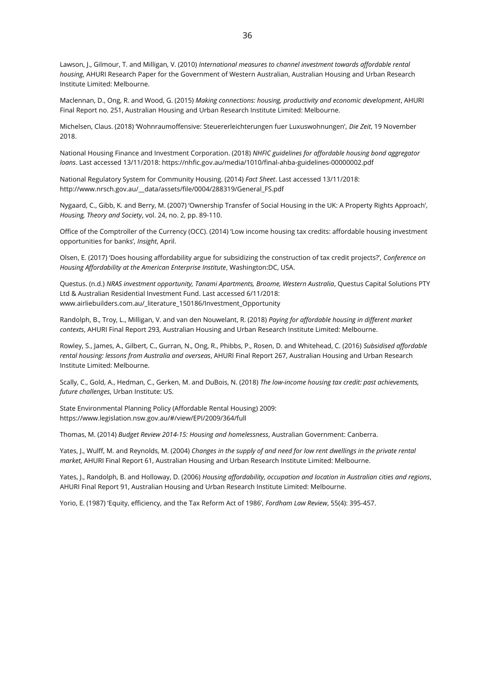Lawson, J., Gilmour, T. and Milligan, V. (2010) *International measures to channel investment towards affordable rental housing*, AHURI Research Paper for the Government of Western Australian, Australian Housing and Urban Research Institute Limited: Melbourne.

Maclennan, D., Ong, R. and Wood, G. (2015) *Making connections: housing, productivity and economic development*, AHURI Final Report no. 251, Australian Housing and Urban Research Institute Limited: Melbourne.

Michelsen, Claus. (2018) 'Wohnraumoffensive: Steuererleichterungen fuer Luxuswohnungen', *Die Zeit*, 19 November 2018.

National Housing Finance and Investment Corporation. (2018) *NHFIC guidelines for affordable housing bond aggregator loans*. Last accessed 13/11/2018: https://nhfic.gov.au/media/1010/final-ahba-guidelines-00000002.pdf

National Regulatory System for Community Housing. (2014) *Fact Sheet*. Last accessed 13/11/2018: http://www.nrsch.gov.au/\_\_data/assets/file/0004/288319/General\_FS.pdf

Nygaard, C., Gibb, K. and Berry, M. (2007) 'Ownership Transfer of Social Housing in the UK: A Property Rights Approach', *Housing, Theory and Society*, vol. 24, no. 2, pp. 89-110.

Office of the Comptroller of the Currency (OCC). (2014) 'Low income housing tax credits: affordable housing investment opportunities for banks', *Insight*, April.

Olsen, E. (2017) 'Does housing affordability argue for subsidizing the construction of tax credit projects?', *Conference on Housing Affordability at the American Enterprise Institute*, Washington:DC, USA.

Questus. (n.d.) *NRAS investment opportunity, Tanami Apartments, Broome, Western Australia*, Questus Capital Solutions PTY Ltd & Australian Residential Investment Fund. Last accessed 6/11/2018: www.airliebuilders.com.au/\_literature\_150186/Investment\_Opportunity

Randolph, B., Troy, L., Milligan, V. and van den Nouwelant, R. (2018) *Paying for affordable housing in different market contexts*, AHURI Final Report 293, Australian Housing and Urban Research Institute Limited: Melbourne.

Rowley, S., James, A., Gilbert, C., Gurran, N., Ong, R., Phibbs, P., Rosen, D. and Whitehead, C. (2016) *Subsidised affordable rental housing: lessons from Australia and overseas*, AHURI Final Report 267, Australian Housing and Urban Research Institute Limited: Melbourne.

Scally, C., Gold, A., Hedman, C., Gerken, M. and DuBois, N. (2018) *The low-income housing tax credit: past achievements, future challenges*, Urban Institute: US.

State Environmental Planning Policy (Affordable Rental Housing) 2009: https://www.legislation.nsw.gov.au/#/view/EPI/2009/364/full

Thomas, M. (2014) *Budget Review 2014-15: Housing and homelessness*, Australian Government: Canberra.

Yates, J., Wulff, M. and Reynolds, M. (2004) *Changes in the supply of and need for low rent dwellings in the private rental market*, AHURI Final Report 61, Australian Housing and Urban Research Institute Limited: Melbourne.

Yates, J., Randolph, B. and Holloway, D. (2006) *Housing affordability, occupation and location in Australian cities and regions*, AHURI Final Report 91, Australian Housing and Urban Research Institute Limited: Melbourne.

Yorio, E. (1987) 'Equity, efficiency, and the Tax Reform Act of 1986', *Fordham Law Review*, 55(4): 395-457.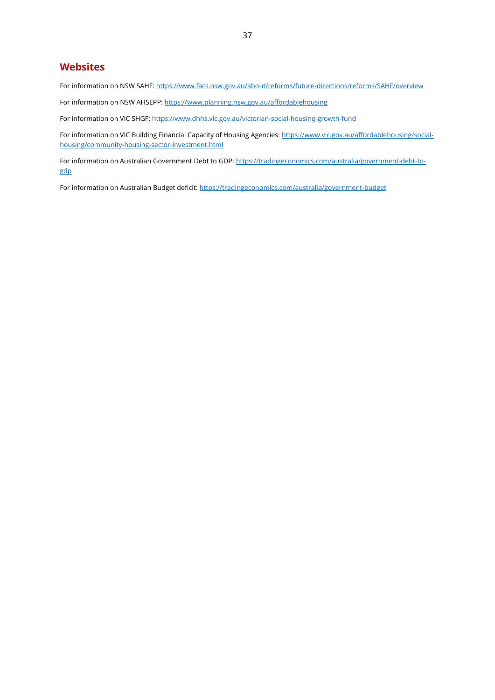## <span id="page-36-0"></span>**Websites**

For information on NSW SAHF:<https://www.facs.nsw.gov.au/about/reforms/future-directions/reforms/SAHF/overview>

For information on NSW AHSEPP:<https://www.planning.nsw.gov.au/affordablehousing>

For information on VIC SHGF:<https://www.dhhs.vic.gov.au/victorian-social-housing-growth-fund>

For information on VIC Building Financial Capacity of Housing Agencies: [https://www.vic.gov.au/affordablehousing/social](https://www.vic.gov.au/affordablehousing/social-housing/community-housing-sector-investment.html)[housing/community-housing-sector-investment.html](https://www.vic.gov.au/affordablehousing/social-housing/community-housing-sector-investment.html)

For information on Australian Government Debt to GDP: [https://tradingeconomics.com/australia/government-debt-to](https://tradingeconomics.com/australia/government-debt-to-gdp)[gdp](https://tradingeconomics.com/australia/government-debt-to-gdp)

For information on Australian Budget deficit:<https://tradingeconomics.com/australia/government-budget>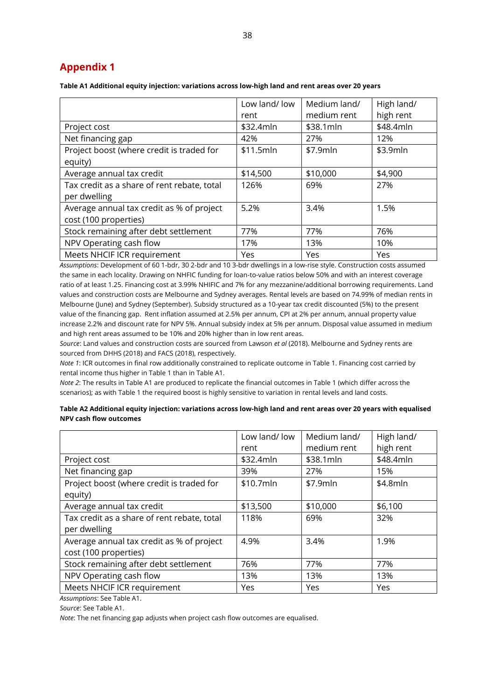# <span id="page-37-0"></span>**Appendix 1**

**Table A1 Additional equity injection: variations across low-high land and rent areas over 20 years**

|                                                                    | Low land/ low<br>rent | Medium land/<br>medium rent | High land/<br>high rent |
|--------------------------------------------------------------------|-----------------------|-----------------------------|-------------------------|
| Project cost                                                       | \$32.4mln             | \$38.1mln                   | \$48.4mln               |
| Net financing gap                                                  | 42%                   | 27%                         | 12%                     |
| Project boost (where credit is traded for                          | \$11.5mln             | \$7.9mln                    | \$3.9mln                |
| equity)                                                            |                       |                             |                         |
| Average annual tax credit                                          | \$14,500              | \$10,000                    | \$4,900                 |
| Tax credit as a share of rent rebate, total<br>per dwelling        | 126%                  | 69%                         | 27%                     |
| Average annual tax credit as % of project<br>cost (100 properties) | 5.2%                  | 3.4%                        | 1.5%                    |
| Stock remaining after debt settlement                              | 77%                   | 77%                         | 76%                     |
| NPV Operating cash flow                                            | 17%                   | 13%                         | 10%                     |
| Meets NHCIF ICR requirement                                        | Yes                   | Yes                         | Yes                     |

*Assumptions*: Development of 60 1-bdr, 30 2-bdr and 10 3-bdr dwellings in a low-rise style. Construction costs assumed the same in each locality. Drawing on NHFIC funding for loan-to-value ratios below 50% and with an interest coverage ratio of at least 1.25. Financing cost at 3.99% NHIFIC and 7% for any mezzanine/additional borrowing requirements. Land values and construction costs are Melbourne and Sydney averages. Rental levels are based on 74.99% of median rents in Melbourne (June) and Sydney (September). Subsidy structured as a 10-year tax credit discounted (5%) to the present value of the financing gap. Rent inflation assumed at 2.5% per annum, CPI at 2% per annum, annual property value increase 2.2% and discount rate for NPV 5%. Annual subsidy index at 5% per annum. Disposal value assumed in medium and high rent areas assumed to be 10% and 20% higher than in low rent areas.

*Source*: Land values and construction costs are sourced from Lawson *et al* (2018). Melbourne and Sydney rents are sourced from DHHS (2018) and FACS (2018), respectively.

*Note 1*: ICR outcomes in final row additionally constrained to replicate outcome in Table 1. Financing cost carried by rental income thus higher in Table 1 than in Table A1.

*Note 2*: The results in Table A1 are produced to replicate the financial outcomes in Table 1 (which differ across the scenarios); as with Table 1 the required boost is highly sensitive to variation in rental levels and land costs.

**Table A2 Additional equity injection: variations across low-high land and rent areas over 20 years with equalised NPV cash flow outcomes** 

|                                             | Low land/ low | Medium land/ | High land/ |
|---------------------------------------------|---------------|--------------|------------|
|                                             | rent          | medium rent  | high rent  |
| Project cost                                | \$32.4mln     | \$38.1mln    | \$48.4mln  |
| Net financing gap                           | 39%           | 27%          | 15%        |
| Project boost (where credit is traded for   | \$10.7mln     | \$7.9mln     | \$4.8mln   |
| equity)                                     |               |              |            |
| Average annual tax credit                   | \$13,500      | \$10,000     | \$6,100    |
| Tax credit as a share of rent rebate, total | 118%          | 69%          | 32%        |
| per dwelling                                |               |              |            |
| Average annual tax credit as % of project   | 4.9%          | 3.4%         | 1.9%       |
| cost (100 properties)                       |               |              |            |
| Stock remaining after debt settlement       | 76%           | 77%          | 77%        |
| NPV Operating cash flow                     | 13%           | 13%          | 13%        |
| Meets NHCIF ICR requirement                 | Yes           | Yes          | Yes        |

*Assumptions*: See Table A1.

*Source*: See Table A1.

*Note*: The net financing gap adjusts when project cash flow outcomes are equalised.